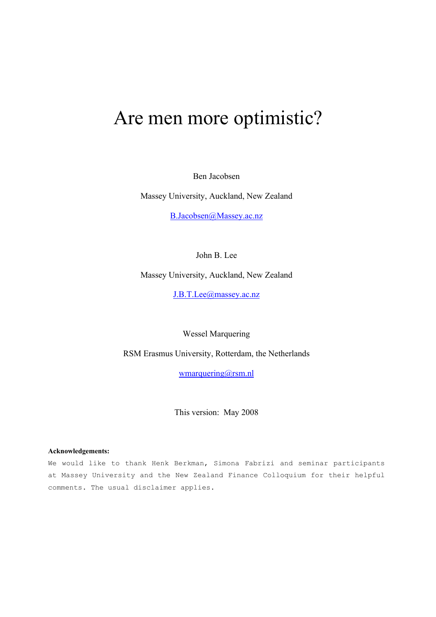# Are men more optimistic?

Ben Jacobsen

Massey University, Auckland, New Zealand

B.Jacobsen@Massey.ac.nz

John B. Lee

Massey University, Auckland, New Zealand

J.B.T.Lee@massey.ac.nz

Wessel Marquering

RSM Erasmus University, Rotterdam, the Netherlands

wmarquering@rsm.nl

This version: May 2008

#### **Acknowledgements:**

We would like to thank Henk Berkman, Simona Fabrizi and seminar participants at Massey University and the New Zealand Finance Colloquium for their helpful comments. The usual disclaimer applies.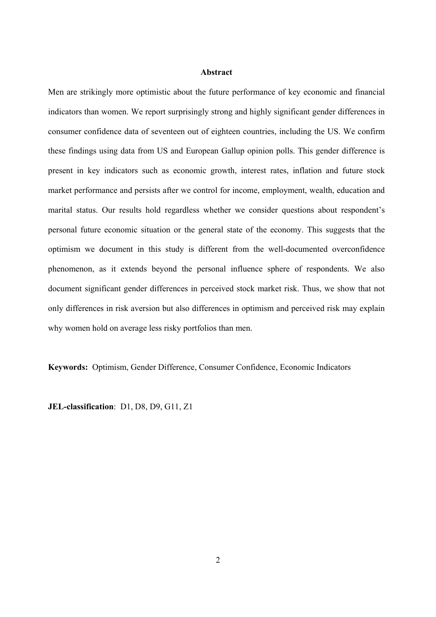#### **Abstract**

Men are strikingly more optimistic about the future performance of key economic and financial indicators than women. We report surprisingly strong and highly significant gender differences in consumer confidence data of seventeen out of eighteen countries, including the US. We confirm these findings using data from US and European Gallup opinion polls. This gender difference is present in key indicators such as economic growth, interest rates, inflation and future stock market performance and persists after we control for income, employment, wealth, education and marital status. Our results hold regardless whether we consider questions about respondent's personal future economic situation or the general state of the economy. This suggests that the optimism we document in this study is different from the well-documented overconfidence phenomenon, as it extends beyond the personal influence sphere of respondents. We also document significant gender differences in perceived stock market risk. Thus, we show that not only differences in risk aversion but also differences in optimism and perceived risk may explain why women hold on average less risky portfolios than men.

**Keywords:** Optimism, Gender Difference, Consumer Confidence, Economic Indicators

**JEL-classification**: D1, D8, D9, G11, Z1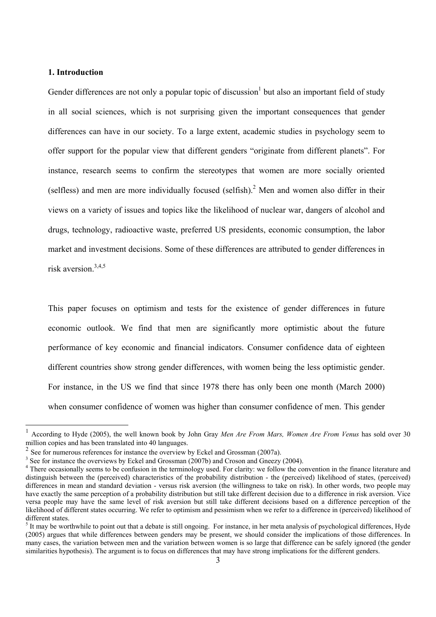## **1. Introduction**

Gender differences are not only a popular topic of discussion but also an important field of study in all social sciences, which is not surprising given the important consequences that gender differences can have in our society. To a large extent, academic studies in psychology seem to offer support for the popular view that different genders "originate from different planets". For instance, research seems to confirm the stereotypes that women are more socially oriented (selfless) and men are more individually focused (selfish).<sup>2</sup> Men and women also differ in their views on a variety of issues and topics like the likelihood of nuclear war, dangers of alcohol and drugs, technology, radioactive waste, preferred US presidents, economic consumption, the labor market and investment decisions. Some of these differences are attributed to gender differences in risk aversion.3,4,5

This paper focuses on optimism and tests for the existence of gender differences in future economic outlook. We find that men are significantly more optimistic about the future performance of key economic and financial indicators. Consumer confidence data of eighteen different countries show strong gender differences, with women being the less optimistic gender. For instance, in the US we find that since 1978 there has only been one month (March 2000) when consumer confidence of women was higher than consumer confidence of men. This gender

<sup>1</sup> According to Hyde (2005), the well known book by John Gray *Men Are From Mars, Women Are From Venus* has sold over 30 million copies and has been translated into 40 languages.

 $2^2$  See for numerous references for instance the overview by Eckel and Grossman (2007a).

 $3$  See for instance the overviews by Eckel and Grossman (2007b) and Croson and Gneezy (2004).

<sup>&</sup>lt;sup>4</sup> There occasionally seems to be confusion in the terminology used. For clarity: we follow the convention in the finance literature and distinguish between the (perceived) characteristics of the probability distribution - the (perceived) likelihood of states, (perceived) differences in mean and standard deviation - versus risk aversion (the willingness to take on risk). In other words, two people may have exactly the same perception of a probability distribution but still take different decision due to a difference in risk aversion. Vice versa people may have the same level of risk aversion but still take different decisions based on a difference perception of the likelihood of different states occurring. We refer to optimism and pessimism when we refer to a difference in (perceived) likelihood of different states.

 $<sup>5</sup>$  It may be worthwhile to point out that a debate is still ongoing. For instance, in her meta analysis of psychological differences, Hyde</sup> (2005) argues that while differences between genders may be present, we should consider the implications of those differences. In many cases, the variation between men and the variation between women is so large that difference can be safely ignored (the gender similarities hypothesis). The argument is to focus on differences that may have strong implications for the different genders.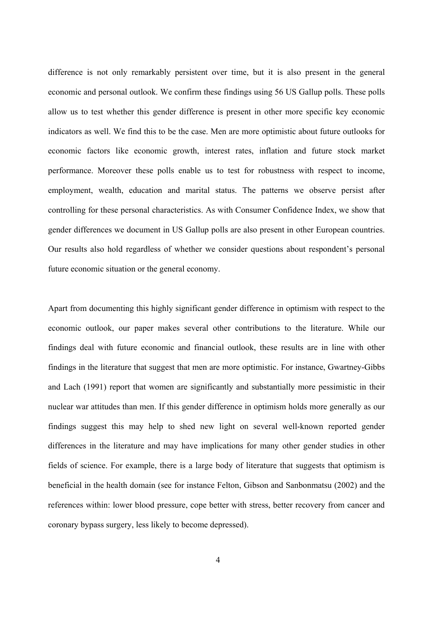difference is not only remarkably persistent over time, but it is also present in the general economic and personal outlook. We confirm these findings using 56 US Gallup polls. These polls allow us to test whether this gender difference is present in other more specific key economic indicators as well. We find this to be the case. Men are more optimistic about future outlooks for economic factors like economic growth, interest rates, inflation and future stock market performance. Moreover these polls enable us to test for robustness with respect to income, employment, wealth, education and marital status. The patterns we observe persist after controlling for these personal characteristics. As with Consumer Confidence Index, we show that gender differences we document in US Gallup polls are also present in other European countries. Our results also hold regardless of whether we consider questions about respondent's personal future economic situation or the general economy.

Apart from documenting this highly significant gender difference in optimism with respect to the economic outlook, our paper makes several other contributions to the literature. While our findings deal with future economic and financial outlook, these results are in line with other findings in the literature that suggest that men are more optimistic. For instance, Gwartney-Gibbs and Lach (1991) report that women are significantly and substantially more pessimistic in their nuclear war attitudes than men. If this gender difference in optimism holds more generally as our findings suggest this may help to shed new light on several well-known reported gender differences in the literature and may have implications for many other gender studies in other fields of science. For example, there is a large body of literature that suggests that optimism is beneficial in the health domain (see for instance Felton, Gibson and Sanbonmatsu (2002) and the references within: lower blood pressure, cope better with stress, better recovery from cancer and coronary bypass surgery, less likely to become depressed).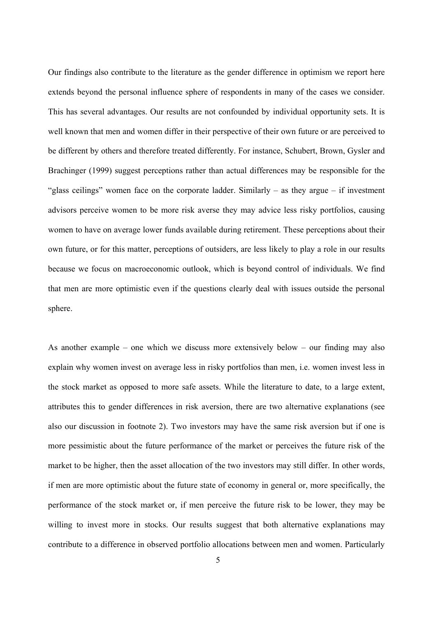Our findings also contribute to the literature as the gender difference in optimism we report here extends beyond the personal influence sphere of respondents in many of the cases we consider. This has several advantages. Our results are not confounded by individual opportunity sets. It is well known that men and women differ in their perspective of their own future or are perceived to be different by others and therefore treated differently. For instance, Schubert, Brown, Gysler and Brachinger (1999) suggest perceptions rather than actual differences may be responsible for the "glass ceilings" women face on the corporate ladder. Similarly  $-$  as they argue  $-$  if investment advisors perceive women to be more risk averse they may advice less risky portfolios, causing women to have on average lower funds available during retirement. These perceptions about their own future, or for this matter, perceptions of outsiders, are less likely to play a role in our results because we focus on macroeconomic outlook, which is beyond control of individuals. We find that men are more optimistic even if the questions clearly deal with issues outside the personal sphere.

As another example – one which we discuss more extensively below – our finding may also explain why women invest on average less in risky portfolios than men, i.e. women invest less in the stock market as opposed to more safe assets. While the literature to date, to a large extent, attributes this to gender differences in risk aversion, there are two alternative explanations (see also our discussion in footnote 2). Two investors may have the same risk aversion but if one is more pessimistic about the future performance of the market or perceives the future risk of the market to be higher, then the asset allocation of the two investors may still differ. In other words, if men are more optimistic about the future state of economy in general or, more specifically, the performance of the stock market or, if men perceive the future risk to be lower, they may be willing to invest more in stocks. Our results suggest that both alternative explanations may contribute to a difference in observed portfolio allocations between men and women. Particularly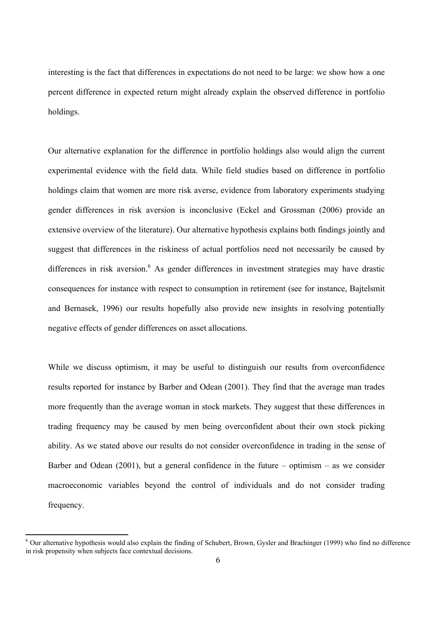interesting is the fact that differences in expectations do not need to be large: we show how a one percent difference in expected return might already explain the observed difference in portfolio holdings.

Our alternative explanation for the difference in portfolio holdings also would align the current experimental evidence with the field data. While field studies based on difference in portfolio holdings claim that women are more risk averse, evidence from laboratory experiments studying gender differences in risk aversion is inconclusive (Eckel and Grossman (2006) provide an extensive overview of the literature). Our alternative hypothesis explains both findings jointly and suggest that differences in the riskiness of actual portfolios need not necessarily be caused by differences in risk aversion.<sup>6</sup> As gender differences in investment strategies may have drastic consequences for instance with respect to consumption in retirement (see for instance, Bajtelsmit and Bernasek, 1996) our results hopefully also provide new insights in resolving potentially negative effects of gender differences on asset allocations.

While we discuss optimism, it may be useful to distinguish our results from overconfidence results reported for instance by Barber and Odean (2001). They find that the average man trades more frequently than the average woman in stock markets. They suggest that these differences in trading frequency may be caused by men being overconfident about their own stock picking ability. As we stated above our results do not consider overconfidence in trading in the sense of Barber and Odean  $(2001)$ , but a general confidence in the future – optimism – as we consider macroeconomic variables beyond the control of individuals and do not consider trading frequency.

 $6$  Our alternative hypothesis would also explain the finding of Schubert, Brown, Gysler and Brachinger (1999) who find no difference in risk propensity when subjects face contextual decisions.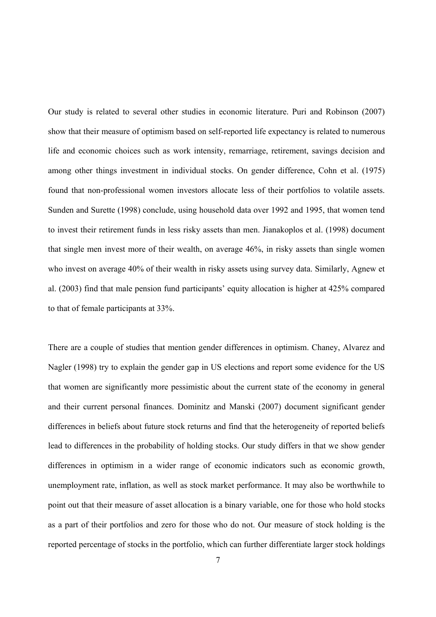Our study is related to several other studies in economic literature. Puri and Robinson (2007) show that their measure of optimism based on self-reported life expectancy is related to numerous life and economic choices such as work intensity, remarriage, retirement, savings decision and among other things investment in individual stocks. On gender difference, Cohn et al. (1975) found that non-professional women investors allocate less of their portfolios to volatile assets. Sunden and Surette (1998) conclude, using household data over 1992 and 1995, that women tend to invest their retirement funds in less risky assets than men. Jianakoplos et al. (1998) document that single men invest more of their wealth, on average 46%, in risky assets than single women who invest on average 40% of their wealth in risky assets using survey data. Similarly, Agnew et al. (2003) find that male pension fund participants' equity allocation is higher at 425% compared to that of female participants at 33%.

There are a couple of studies that mention gender differences in optimism. Chaney, Alvarez and Nagler (1998) try to explain the gender gap in US elections and report some evidence for the US that women are significantly more pessimistic about the current state of the economy in general and their current personal finances. Dominitz and Manski (2007) document significant gender differences in beliefs about future stock returns and find that the heterogeneity of reported beliefs lead to differences in the probability of holding stocks. Our study differs in that we show gender differences in optimism in a wider range of economic indicators such as economic growth, unemployment rate, inflation, as well as stock market performance. It may also be worthwhile to point out that their measure of asset allocation is a binary variable, one for those who hold stocks as a part of their portfolios and zero for those who do not. Our measure of stock holding is the reported percentage of stocks in the portfolio, which can further differentiate larger stock holdings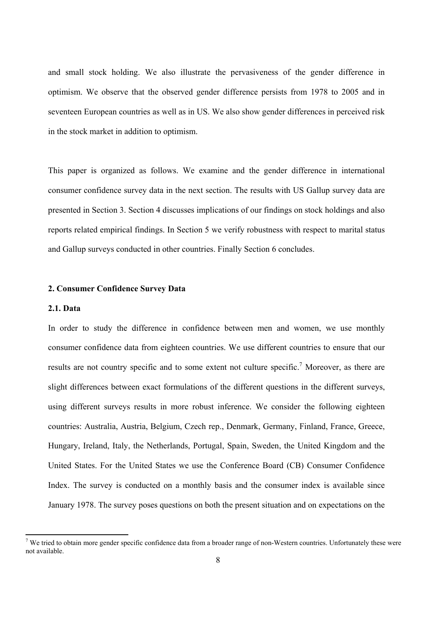and small stock holding. We also illustrate the pervasiveness of the gender difference in optimism. We observe that the observed gender difference persists from 1978 to 2005 and in seventeen European countries as well as in US. We also show gender differences in perceived risk in the stock market in addition to optimism.

This paper is organized as follows. We examine and the gender difference in international consumer confidence survey data in the next section. The results with US Gallup survey data are presented in Section 3. Section 4 discusses implications of our findings on stock holdings and also reports related empirical findings. In Section 5 we verify robustness with respect to marital status and Gallup surveys conducted in other countries. Finally Section 6 concludes.

#### **2. Consumer Confidence Survey Data**

#### **2.1. Data**

In order to study the difference in confidence between men and women, we use monthly consumer confidence data from eighteen countries. We use different countries to ensure that our results are not country specific and to some extent not culture specific.<sup>7</sup> Moreover, as there are slight differences between exact formulations of the different questions in the different surveys, using different surveys results in more robust inference. We consider the following eighteen countries: Australia, Austria, Belgium, Czech rep., Denmark, Germany, Finland, France, Greece, Hungary, Ireland, Italy, the Netherlands, Portugal, Spain, Sweden, the United Kingdom and the United States. For the United States we use the Conference Board (CB) Consumer Confidence Index. The survey is conducted on a monthly basis and the consumer index is available since January 1978. The survey poses questions on both the present situation and on expectations on the

<sup>&</sup>lt;sup>7</sup> We tried to obtain more gender specific confidence data from a broader range of non-Western countries. Unfortunately these were not available.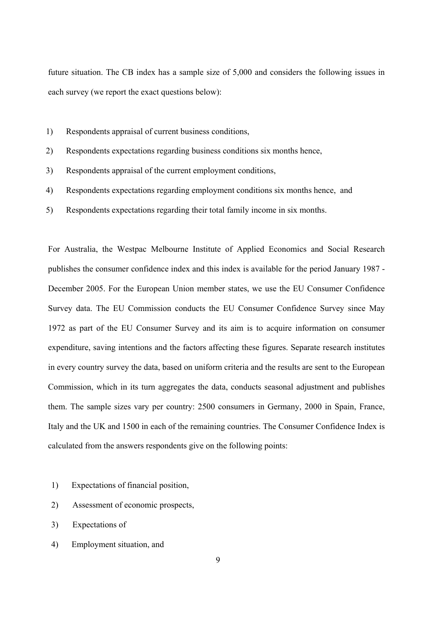future situation. The CB index has a sample size of 5,000 and considers the following issues in each survey (we report the exact questions below):

- 1) Respondents appraisal of current business conditions,
- 2) Respondents expectations regarding business conditions six months hence,
- 3) Respondents appraisal of the current employment conditions,
- 4) Respondents expectations regarding employment conditions six months hence, and
- 5) Respondents expectations regarding their total family income in six months.

For Australia, the Westpac Melbourne Institute of Applied Economics and Social Research publishes the consumer confidence index and this index is available for the period January 1987 - December 2005. For the European Union member states, we use the EU Consumer Confidence Survey data. The EU Commission conducts the EU Consumer Confidence Survey since May 1972 as part of the EU Consumer Survey and its aim is to acquire information on consumer expenditure, saving intentions and the factors affecting these figures. Separate research institutes in every country survey the data, based on uniform criteria and the results are sent to the European Commission, which in its turn aggregates the data, conducts seasonal adjustment and publishes them. The sample sizes vary per country: 2500 consumers in Germany, 2000 in Spain, France, Italy and the UK and 1500 in each of the remaining countries. The Consumer Confidence Index is calculated from the answers respondents give on the following points:

- 1) Expectations of financial position,
- 2) Assessment of economic prospects,
- 3) Expectations of
- 4) Employment situation, and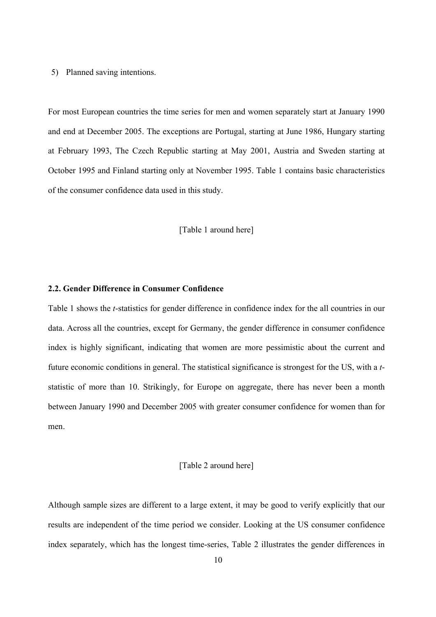5) Planned saving intentions.

For most European countries the time series for men and women separately start at January 1990 and end at December 2005. The exceptions are Portugal, starting at June 1986, Hungary starting at February 1993, The Czech Republic starting at May 2001, Austria and Sweden starting at October 1995 and Finland starting only at November 1995. Table 1 contains basic characteristics of the consumer confidence data used in this study.

[Table 1 around here]

## **2.2. Gender Difference in Consumer Confidence**

Table 1 shows the *t*-statistics for gender difference in confidence index for the all countries in our data. Across all the countries, except for Germany, the gender difference in consumer confidence index is highly significant, indicating that women are more pessimistic about the current and future economic conditions in general. The statistical significance is strongest for the US, with a *t*statistic of more than 10. Strikingly, for Europe on aggregate, there has never been a month between January 1990 and December 2005 with greater consumer confidence for women than for men.

#### [Table 2 around here]

Although sample sizes are different to a large extent, it may be good to verify explicitly that our results are independent of the time period we consider. Looking at the US consumer confidence index separately, which has the longest time-series, Table 2 illustrates the gender differences in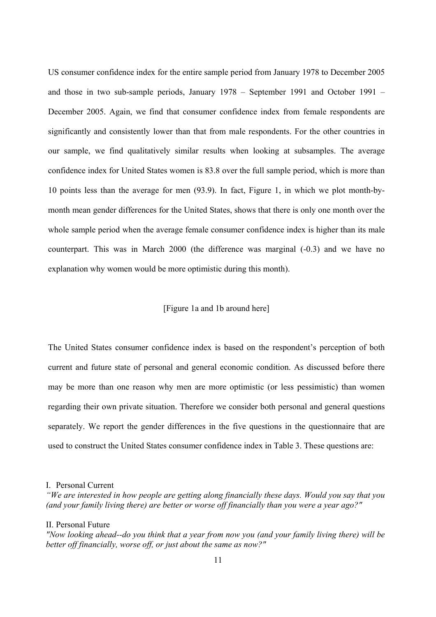US consumer confidence index for the entire sample period from January 1978 to December 2005 and those in two sub-sample periods, January 1978 – September 1991 and October 1991 – December 2005. Again, we find that consumer confidence index from female respondents are significantly and consistently lower than that from male respondents. For the other countries in our sample, we find qualitatively similar results when looking at subsamples. The average confidence index for United States women is 83.8 over the full sample period, which is more than 10 points less than the average for men (93.9). In fact, Figure 1, in which we plot month-bymonth mean gender differences for the United States, shows that there is only one month over the whole sample period when the average female consumer confidence index is higher than its male counterpart. This was in March 2000 (the difference was marginal (-0.3) and we have no explanation why women would be more optimistic during this month).

## [Figure 1a and 1b around here]

The United States consumer confidence index is based on the respondent's perception of both current and future state of personal and general economic condition. As discussed before there may be more than one reason why men are more optimistic (or less pessimistic) than women regarding their own private situation. Therefore we consider both personal and general questions separately. We report the gender differences in the five questions in the questionnaire that are used to construct the United States consumer confidence index in Table 3. These questions are:

II. Personal Future

I. Personal Current

*<sup>&</sup>quot;We are interested in how people are getting along financially these days. Would you say that you (and your family living there) are better or worse off financially than you were a year ago?"* 

*<sup>&</sup>quot;Now looking ahead--do you think that a year from now you (and your family living there) will be better off financially, worse off, or just about the same as now?"*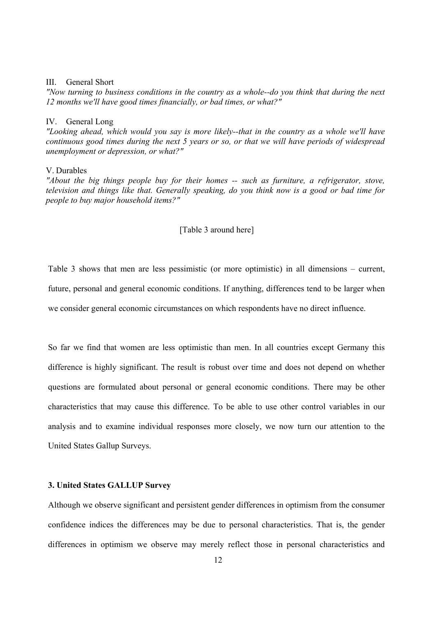#### III. General Short

*"Now turning to business conditions in the country as a whole--do you think that during the next 12 months we'll have good times financially, or bad times, or what?"* 

#### IV. General Long

*"Looking ahead, which would you say is more likely--that in the country as a whole we'll have continuous good times during the next 5 years or so, or that we will have periods of widespread unemployment or depression, or what?"* 

#### V. Durables

*"About the big things people buy for their homes -- such as furniture, a refrigerator, stove, television and things like that. Generally speaking, do you think now is a good or bad time for people to buy major household items?"* 

## [Table 3 around here]

Table 3 shows that men are less pessimistic (or more optimistic) in all dimensions – current, future, personal and general economic conditions. If anything, differences tend to be larger when we consider general economic circumstances on which respondents have no direct influence.

So far we find that women are less optimistic than men. In all countries except Germany this difference is highly significant. The result is robust over time and does not depend on whether questions are formulated about personal or general economic conditions. There may be other characteristics that may cause this difference. To be able to use other control variables in our analysis and to examine individual responses more closely, we now turn our attention to the United States Gallup Surveys.

## **3. United States GALLUP Survey**

Although we observe significant and persistent gender differences in optimism from the consumer confidence indices the differences may be due to personal characteristics. That is, the gender differences in optimism we observe may merely reflect those in personal characteristics and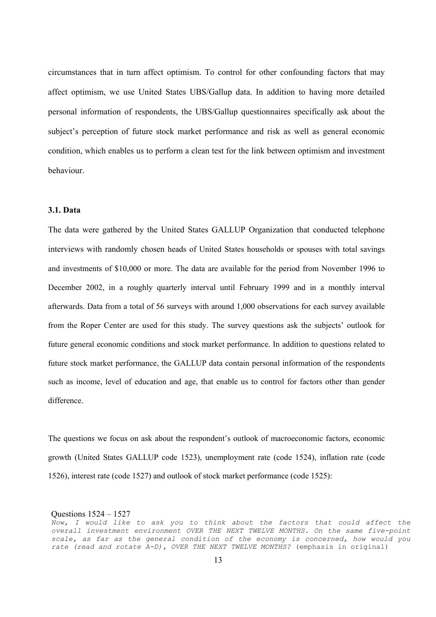circumstances that in turn affect optimism. To control for other confounding factors that may affect optimism, we use United States UBS/Gallup data. In addition to having more detailed personal information of respondents, the UBS/Gallup questionnaires specifically ask about the subject's perception of future stock market performance and risk as well as general economic condition, which enables us to perform a clean test for the link between optimism and investment behaviour.

## **3.1. Data**

The data were gathered by the United States GALLUP Organization that conducted telephone interviews with randomly chosen heads of United States households or spouses with total savings and investments of \$10,000 or more. The data are available for the period from November 1996 to December 2002, in a roughly quarterly interval until February 1999 and in a monthly interval afterwards. Data from a total of 56 surveys with around 1,000 observations for each survey available from the Roper Center are used for this study. The survey questions ask the subjects' outlook for future general economic conditions and stock market performance. In addition to questions related to future stock market performance, the GALLUP data contain personal information of the respondents such as income, level of education and age, that enable us to control for factors other than gender difference.

The questions we focus on ask about the respondent's outlook of macroeconomic factors, economic growth (United States GALLUP code 1523), unemployment rate (code 1524), inflation rate (code 1526), interest rate (code 1527) and outlook of stock market performance (code 1525):

Questions 1524 – 1527

Now, I would like to ask you to think about the factors that could affect the *overall investment environment OVER THE NEXT TWELVE MONTHS. On the same five-point scale, as far as the general condition of the economy is concerned, how would you rate (read and rotate A-D), OVER THE NEXT TWELVE MONTHS?* (emphasis in original)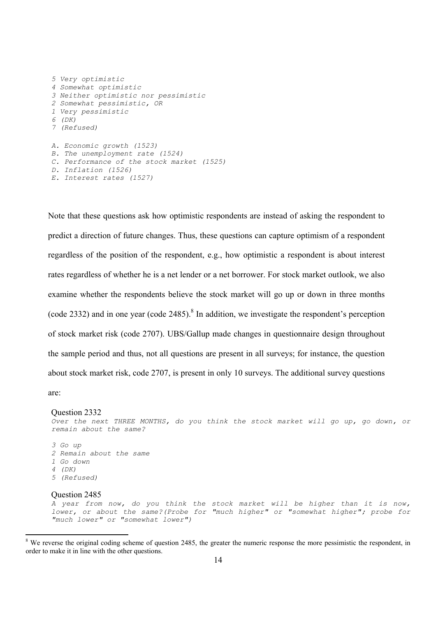```
5 Very optimistic 
4 Somewhat optimistic 
3 Neither optimistic nor pessimistic 
2 Somewhat pessimistic, OR 
1 Very pessimistic 
6 (DK) 
7 (Refused) 
A. Economic growth (1523) 
B. The unemployment rate (1524) 
C. Performance of the stock market (1525) 
D. Inflation (1526) 
E. Interest rates (1527)
```
Note that these questions ask how optimistic respondents are instead of asking the respondent to predict a direction of future changes. Thus, these questions can capture optimism of a respondent regardless of the position of the respondent, e.g., how optimistic a respondent is about interest rates regardless of whether he is a net lender or a net borrower. For stock market outlook, we also examine whether the respondents believe the stock market will go up or down in three months (code 2332) and in one year (code 2485).<sup>8</sup> In addition, we investigate the respondent's perception of stock market risk (code 2707). UBS/Gallup made changes in questionnaire design throughout the sample period and thus, not all questions are present in all surveys; for instance, the question about stock market risk, code 2707, is present in only 10 surveys. The additional survey questions

are:

#### Question 2332

*Over the next THREE MONTHS, do you think the stock market will go up, go down, or remain about the same?* 

*3 Go up 2 Remain about the same 1 Go down 4 (DK) 5 (Refused)* 

#### Question 2485

*A year from now, do you think the stock market will be higher than it is now, lower, or about the same?(Probe for "much higher" or "somewhat higher"; probe for "much lower" or "somewhat lower")* 

 $8$  We reverse the original coding scheme of question 2485, the greater the numeric response the more pessimistic the respondent, in order to make it in line with the other questions.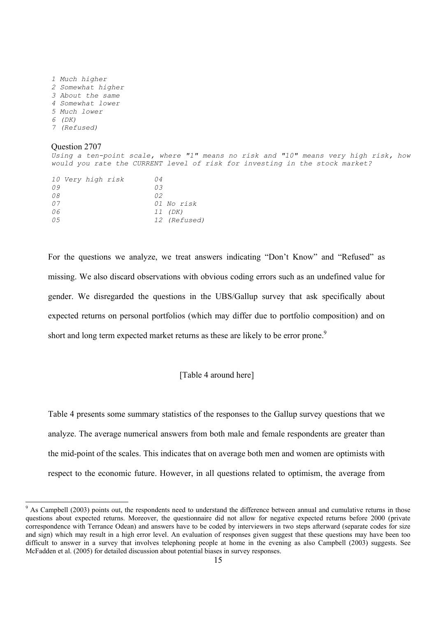*1 Much higher 2 Somewhat higher 3 About the same 4 Somewhat lower 5 Much lower 6 (DK) 7 (Refused)* 

#### Question 2707

*Using a ten-point scale, where "1" means no risk and "10" means very high risk, how would you rate the CURRENT level of risk for investing in the stock market?* 

|     | <i>10 Very high risk</i> | 04           |
|-----|--------------------------|--------------|
| 09  |                          | 03           |
| 08  |                          | 02           |
| 07  |                          | 01 No risk   |
| 06  |                          | 11 (DK)      |
| 0.5 |                          | 12 (Refused) |

For the questions we analyze, we treat answers indicating "Don't Know" and "Refused" as missing. We also discard observations with obvious coding errors such as an undefined value for gender. We disregarded the questions in the UBS/Gallup survey that ask specifically about expected returns on personal portfolios (which may differ due to portfolio composition) and on short and long term expected market returns as these are likely to be error prone.<sup>9</sup>

## [Table 4 around here]

Table 4 presents some summary statistics of the responses to the Gallup survey questions that we analyze. The average numerical answers from both male and female respondents are greater than the mid-point of the scales. This indicates that on average both men and women are optimists with respect to the economic future. However, in all questions related to optimism, the average from

 $9$  As Campbell (2003) points out, the respondents need to understand the difference between annual and cumulative returns in those questions about expected returns. Moreover, the questionnaire did not allow for negative expected returns before 2000 (private correspondence with Terrance Odean) and answers have to be coded by interviewers in two steps afterward (separate codes for size and sign) which may result in a high error level. An evaluation of responses given suggest that these questions may have been too difficult to answer in a survey that involves telephoning people at home in the evening as also Campbell (2003) suggests. See McFadden et al. (2005) for detailed discussion about potential biases in survey responses.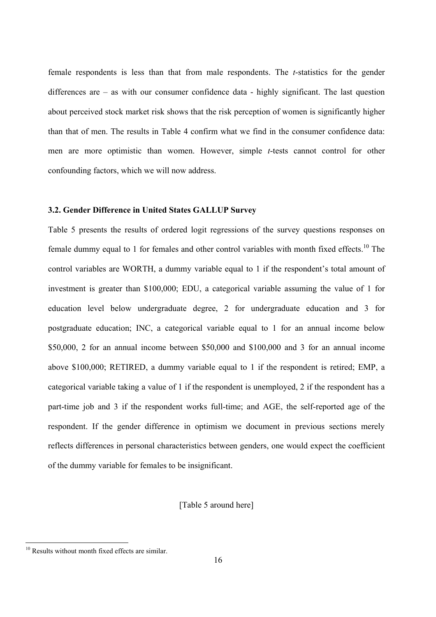female respondents is less than that from male respondents. The *t*-statistics for the gender differences are – as with our consumer confidence data - highly significant. The last question about perceived stock market risk shows that the risk perception of women is significantly higher than that of men. The results in Table 4 confirm what we find in the consumer confidence data: men are more optimistic than women. However, simple *t*-tests cannot control for other confounding factors, which we will now address.

## **3.2. Gender Difference in United States GALLUP Survey**

Table 5 presents the results of ordered logit regressions of the survey questions responses on female dummy equal to 1 for females and other control variables with month fixed effects.<sup>10</sup> The control variables are WORTH, a dummy variable equal to 1 if the respondent's total amount of investment is greater than \$100,000; EDU, a categorical variable assuming the value of 1 for education level below undergraduate degree, 2 for undergraduate education and 3 for postgraduate education; INC, a categorical variable equal to 1 for an annual income below \$50,000, 2 for an annual income between \$50,000 and \$100,000 and 3 for an annual income above \$100,000; RETIRED, a dummy variable equal to 1 if the respondent is retired; EMP, a categorical variable taking a value of 1 if the respondent is unemployed, 2 if the respondent has a part-time job and 3 if the respondent works full-time; and AGE, the self-reported age of the respondent. If the gender difference in optimism we document in previous sections merely reflects differences in personal characteristics between genders, one would expect the coefficient of the dummy variable for females to be insignificant.

# [Table 5 around here]

<sup>&</sup>lt;sup>10</sup> Results without month fixed effects are similar.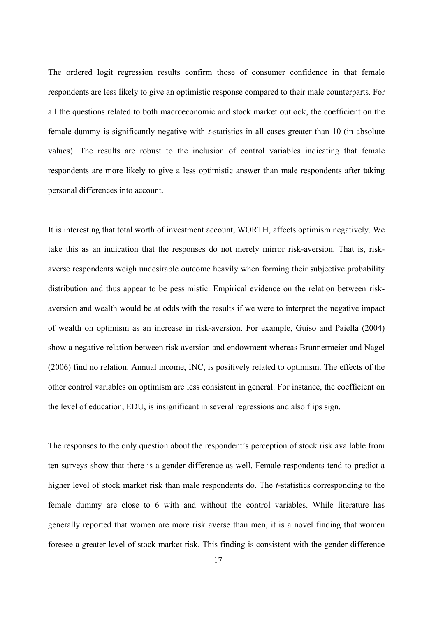The ordered logit regression results confirm those of consumer confidence in that female respondents are less likely to give an optimistic response compared to their male counterparts. For all the questions related to both macroeconomic and stock market outlook, the coefficient on the female dummy is significantly negative with *t*-statistics in all cases greater than 10 (in absolute values). The results are robust to the inclusion of control variables indicating that female respondents are more likely to give a less optimistic answer than male respondents after taking personal differences into account.

It is interesting that total worth of investment account, WORTH, affects optimism negatively. We take this as an indication that the responses do not merely mirror risk-aversion. That is, riskaverse respondents weigh undesirable outcome heavily when forming their subjective probability distribution and thus appear to be pessimistic. Empirical evidence on the relation between riskaversion and wealth would be at odds with the results if we were to interpret the negative impact of wealth on optimism as an increase in risk-aversion. For example, Guiso and Paiella (2004) show a negative relation between risk aversion and endowment whereas Brunnermeier and Nagel (2006) find no relation. Annual income, INC, is positively related to optimism. The effects of the other control variables on optimism are less consistent in general. For instance, the coefficient on the level of education, EDU, is insignificant in several regressions and also flips sign.

The responses to the only question about the respondent's perception of stock risk available from ten surveys show that there is a gender difference as well. Female respondents tend to predict a higher level of stock market risk than male respondents do. The *t*-statistics corresponding to the female dummy are close to 6 with and without the control variables. While literature has generally reported that women are more risk averse than men, it is a novel finding that women foresee a greater level of stock market risk. This finding is consistent with the gender difference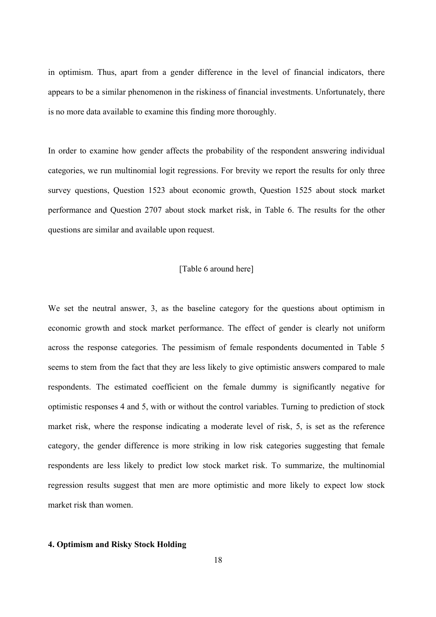in optimism. Thus, apart from a gender difference in the level of financial indicators, there appears to be a similar phenomenon in the riskiness of financial investments. Unfortunately, there is no more data available to examine this finding more thoroughly.

In order to examine how gender affects the probability of the respondent answering individual categories, we run multinomial logit regressions. For brevity we report the results for only three survey questions, Question 1523 about economic growth, Question 1525 about stock market performance and Question 2707 about stock market risk, in Table 6. The results for the other questions are similar and available upon request.

## [Table 6 around here]

We set the neutral answer, 3, as the baseline category for the questions about optimism in economic growth and stock market performance. The effect of gender is clearly not uniform across the response categories. The pessimism of female respondents documented in Table 5 seems to stem from the fact that they are less likely to give optimistic answers compared to male respondents. The estimated coefficient on the female dummy is significantly negative for optimistic responses 4 and 5, with or without the control variables. Turning to prediction of stock market risk, where the response indicating a moderate level of risk, 5, is set as the reference category, the gender difference is more striking in low risk categories suggesting that female respondents are less likely to predict low stock market risk. To summarize, the multinomial regression results suggest that men are more optimistic and more likely to expect low stock market risk than women.

## **4. Optimism and Risky Stock Holding**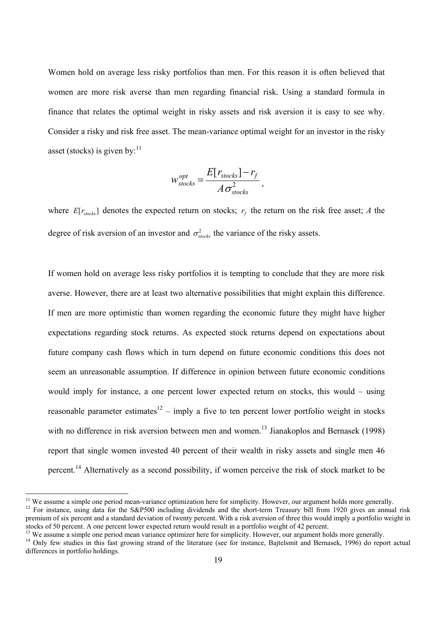Women hold on average less risky portfolios than men. For this reason it is often believed that women are more risk averse than men regarding financial risk. Using a standard formula in finance that relates the optimal weight in risky assets and risk aversion it is easy to see why. Consider a risky and risk free asset. The mean-variance optimal weight for an investor in the risky asset (stocks) is given by: $11$ 

$$
w_{stocks}^{opt} = \frac{E[r_{stocks}] - r_f}{A\sigma_{stocks}^2},
$$

where  $E[r_{\text{stocks}}]$  denotes the expected return on stocks;  $r_f$  the return on the risk free asset; *A* the degree of risk aversion of an investor and  $\sigma_{\text{stocks}}^2$  the variance of the risky assets.

If women hold on average less risky portfolios it is tempting to conclude that they are more risk averse. However, there are at least two alternative possibilities that might explain this difference. If men are more optimistic than women regarding the economic future they might have higher expectations regarding stock returns. As expected stock returns depend on expectations about future company cash flows which in turn depend on future economic conditions this does not seem an unreasonable assumption. If difference in opinion between future economic conditions would imply for instance, a one percent lower expected return on stocks, this would – using reasonable parameter estimates<sup>12</sup> – imply a five to ten percent lower portfolio weight in stocks with no difference in risk aversion between men and women.<sup>13</sup> Jianakoplos and Bernasek (1998) report that single women invested 40 percent of their wealth in risky assets and single men 46 percent.<sup>14</sup> Alternatively as a second possibility, if women perceive the risk of stock market to be

 $11$  We assume a simple one period mean-variance optimization here for simplicity. However, our argument holds more generally.

<sup>&</sup>lt;sup>12</sup> For instance, using data for the S&P500 including dividends and the short-term Treasury bill from 1920 gives an annual risk premium of six percent and a standard deviation of twenty percent. With a risk aversion of three this would imply a portfolio weight in stocks of 50 percent. A one percent lower expected return would result in a portfolio weight of 42 percent.

 $13$  We assume a simple one period mean variance optimizer here for simplicity. However, our argument holds more generally.

<sup>&</sup>lt;sup>14</sup> Only few studies in this fast growing strand of the literature (see for instance, Bajtelsmit and Bernasek, 1996) do report actual differences in portfolio holdings.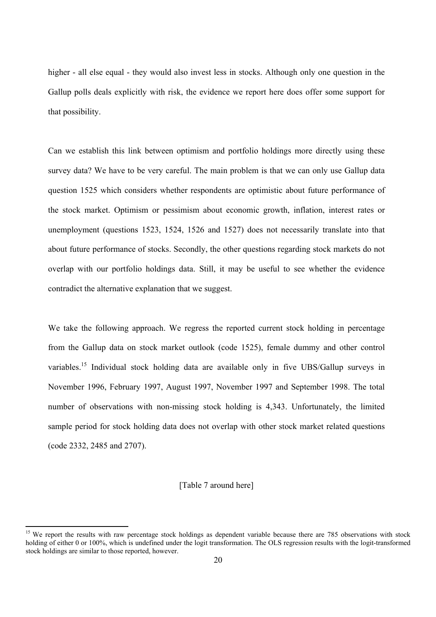higher - all else equal - they would also invest less in stocks. Although only one question in the Gallup polls deals explicitly with risk, the evidence we report here does offer some support for that possibility.

Can we establish this link between optimism and portfolio holdings more directly using these survey data? We have to be very careful. The main problem is that we can only use Gallup data question 1525 which considers whether respondents are optimistic about future performance of the stock market. Optimism or pessimism about economic growth, inflation, interest rates or unemployment (questions 1523, 1524, 1526 and 1527) does not necessarily translate into that about future performance of stocks. Secondly, the other questions regarding stock markets do not overlap with our portfolio holdings data. Still, it may be useful to see whether the evidence contradict the alternative explanation that we suggest.

We take the following approach. We regress the reported current stock holding in percentage from the Gallup data on stock market outlook (code 1525), female dummy and other control variables.<sup>15</sup> Individual stock holding data are available only in five UBS/Gallup surveys in November 1996, February 1997, August 1997, November 1997 and September 1998. The total number of observations with non-missing stock holding is 4,343. Unfortunately, the limited sample period for stock holding data does not overlap with other stock market related questions (code 2332, 2485 and 2707).

## [Table 7 around here]

 $\overline{a}$ 

<sup>&</sup>lt;sup>15</sup> We report the results with raw percentage stock holdings as dependent variable because there are 785 observations with stock holding of either 0 or 100%, which is undefined under the logit transformation. The OLS regression results with the logit-transformed stock holdings are similar to those reported, however.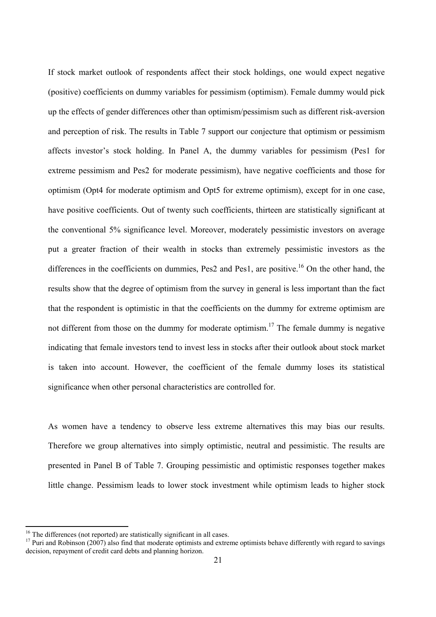If stock market outlook of respondents affect their stock holdings, one would expect negative (positive) coefficients on dummy variables for pessimism (optimism). Female dummy would pick up the effects of gender differences other than optimism/pessimism such as different risk-aversion and perception of risk. The results in Table 7 support our conjecture that optimism or pessimism affects investor's stock holding. In Panel A, the dummy variables for pessimism (Pes1 for extreme pessimism and Pes2 for moderate pessimism), have negative coefficients and those for optimism (Opt4 for moderate optimism and Opt5 for extreme optimism), except for in one case, have positive coefficients. Out of twenty such coefficients, thirteen are statistically significant at the conventional 5% significance level. Moreover, moderately pessimistic investors on average put a greater fraction of their wealth in stocks than extremely pessimistic investors as the differences in the coefficients on dummies, Pes2 and Pes1, are positive.<sup>16</sup> On the other hand, the results show that the degree of optimism from the survey in general is less important than the fact that the respondent is optimistic in that the coefficients on the dummy for extreme optimism are not different from those on the dummy for moderate optimism.<sup>17</sup> The female dummy is negative indicating that female investors tend to invest less in stocks after their outlook about stock market is taken into account. However, the coefficient of the female dummy loses its statistical significance when other personal characteristics are controlled for.

As women have a tendency to observe less extreme alternatives this may bias our results. Therefore we group alternatives into simply optimistic, neutral and pessimistic. The results are presented in Panel B of Table 7. Grouping pessimistic and optimistic responses together makes little change. Pessimism leads to lower stock investment while optimism leads to higher stock

 $\overline{a}$ 

 $16$  The differences (not reported) are statistically significant in all cases.

<sup>&</sup>lt;sup>17</sup> Puri and Robinson (2007) also find that moderate optimists and extreme optimists behave differently with regard to savings decision, repayment of credit card debts and planning horizon.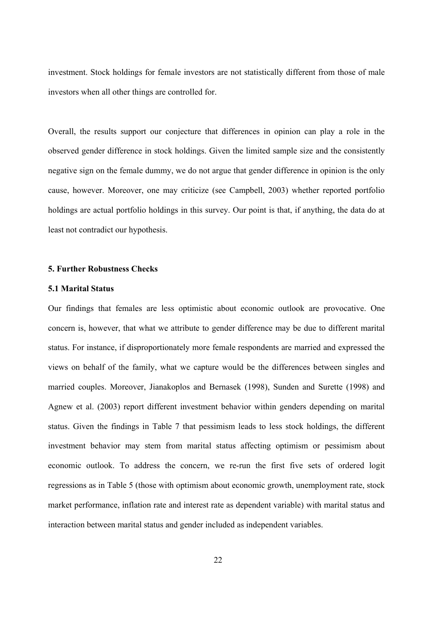investment. Stock holdings for female investors are not statistically different from those of male investors when all other things are controlled for.

Overall, the results support our conjecture that differences in opinion can play a role in the observed gender difference in stock holdings. Given the limited sample size and the consistently negative sign on the female dummy, we do not argue that gender difference in opinion is the only cause, however. Moreover, one may criticize (see Campbell, 2003) whether reported portfolio holdings are actual portfolio holdings in this survey. Our point is that, if anything, the data do at least not contradict our hypothesis.

#### **5. Further Robustness Checks**

#### **5.1 Marital Status**

Our findings that females are less optimistic about economic outlook are provocative. One concern is, however, that what we attribute to gender difference may be due to different marital status. For instance, if disproportionately more female respondents are married and expressed the views on behalf of the family, what we capture would be the differences between singles and married couples. Moreover, Jianakoplos and Bernasek (1998), Sunden and Surette (1998) and Agnew et al. (2003) report different investment behavior within genders depending on marital status. Given the findings in Table 7 that pessimism leads to less stock holdings, the different investment behavior may stem from marital status affecting optimism or pessimism about economic outlook. To address the concern, we re-run the first five sets of ordered logit regressions as in Table 5 (those with optimism about economic growth, unemployment rate, stock market performance, inflation rate and interest rate as dependent variable) with marital status and interaction between marital status and gender included as independent variables.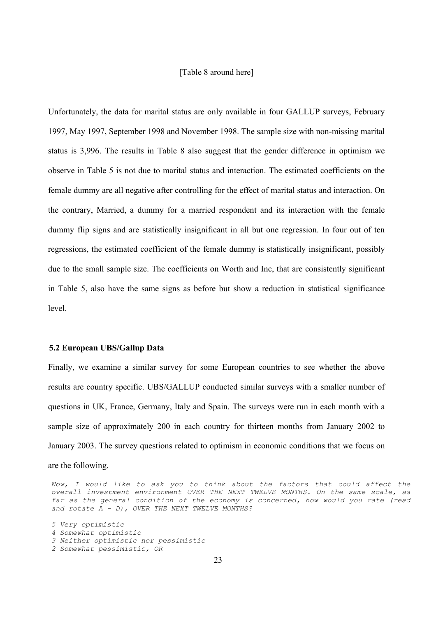## [Table 8 around here]

Unfortunately, the data for marital status are only available in four GALLUP surveys, February 1997, May 1997, September 1998 and November 1998. The sample size with non-missing marital status is 3,996. The results in Table 8 also suggest that the gender difference in optimism we observe in Table 5 is not due to marital status and interaction. The estimated coefficients on the female dummy are all negative after controlling for the effect of marital status and interaction. On the contrary, Married, a dummy for a married respondent and its interaction with the female dummy flip signs and are statistically insignificant in all but one regression. In four out of ten regressions, the estimated coefficient of the female dummy is statistically insignificant, possibly due to the small sample size. The coefficients on Worth and Inc, that are consistently significant in Table 5, also have the same signs as before but show a reduction in statistical significance level.

#### **5.2 European UBS/Gallup Data**

Finally, we examine a similar survey for some European countries to see whether the above results are country specific. UBS/GALLUP conducted similar surveys with a smaller number of questions in UK, France, Germany, Italy and Spain. The surveys were run in each month with a sample size of approximately 200 in each country for thirteen months from January 2002 to January 2003. The survey questions related to optimism in economic conditions that we focus on

are the following.

Now, I would like to ask you to think about the factors that could affect the *overall investment environment OVER THE NEXT TWELVE MONTHS. On the same scale, as far as the general condition of the economy is concerned, how would you rate (read and rotate A - D), OVER THE NEXT TWELVE MONTHS?* 

```
5 Very optimistic 
4 Somewhat optimistic 
3 Neither optimistic nor pessimistic 
2 Somewhat pessimistic, OR
```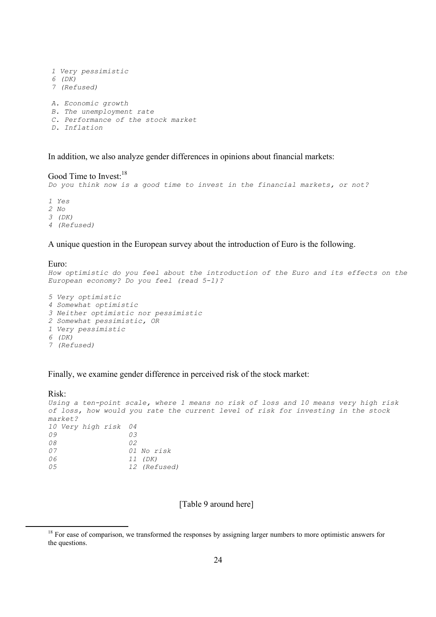```
1 Very pessimistic 
6 (DK) 
7 (Refused) 
A. Economic growth 
B. The unemployment rate 
C. Performance of the stock market 
D. Inflation
```
In addition, we also analyze gender differences in opinions about financial markets:

```
Good Time to Invest:<sup>18</sup>
Do you think now is a good time to invest in the financial markets, or not? 
1 Yes 
2 No 
3 (DK) 
4 (Refused)
```
A unique question in the European survey about the introduction of Euro is the following.

Euro: How optimistic do you feel about the introduction of the Euro and its effects on the *European economy? Do you feel (read 5-1)?* 

```
5 Very optimistic 
4 Somewhat optimistic 
3 Neither optimistic nor pessimistic 
2 Somewhat pessimistic, OR 
1 Very pessimistic 
6 (DK) 
7 (Refused)
```
Finally, we examine gender difference in perceived risk of the stock market:

```
Risk:
Using a ten-point scale, where 1 means no risk of loss and 10 means very high risk 
of loss, how would you rate the current level of risk for investing in the stock 
market? 
10 Very high risk 04 
09 03 
08 02 
07 01 No risk 
06 11 (DK) 
05 12 (Refused)
```
[Table 9 around here]

<sup>&</sup>lt;sup>18</sup> For ease of comparison, we transformed the responses by assigning larger numbers to more optimistic answers for the questions.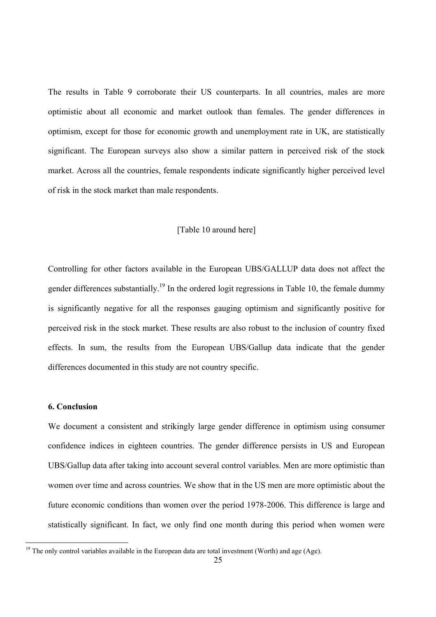The results in Table 9 corroborate their US counterparts. In all countries, males are more optimistic about all economic and market outlook than females. The gender differences in optimism, except for those for economic growth and unemployment rate in UK, are statistically significant. The European surveys also show a similar pattern in perceived risk of the stock market. Across all the countries, female respondents indicate significantly higher perceived level of risk in the stock market than male respondents.

# [Table 10 around here]

Controlling for other factors available in the European UBS/GALLUP data does not affect the gender differences substantially.<sup>19</sup> In the ordered logit regressions in Table 10, the female dummy is significantly negative for all the responses gauging optimism and significantly positive for perceived risk in the stock market. These results are also robust to the inclusion of country fixed effects. In sum, the results from the European UBS/Gallup data indicate that the gender differences documented in this study are not country specific.

# **6. Conclusion**

We document a consistent and strikingly large gender difference in optimism using consumer confidence indices in eighteen countries. The gender difference persists in US and European UBS/Gallup data after taking into account several control variables. Men are more optimistic than women over time and across countries. We show that in the US men are more optimistic about the future economic conditions than women over the period 1978-2006. This difference is large and statistically significant. In fact, we only find one month during this period when women were

<sup>&</sup>lt;sup>19</sup> The only control variables available in the European data are total investment (Worth) and age (Age).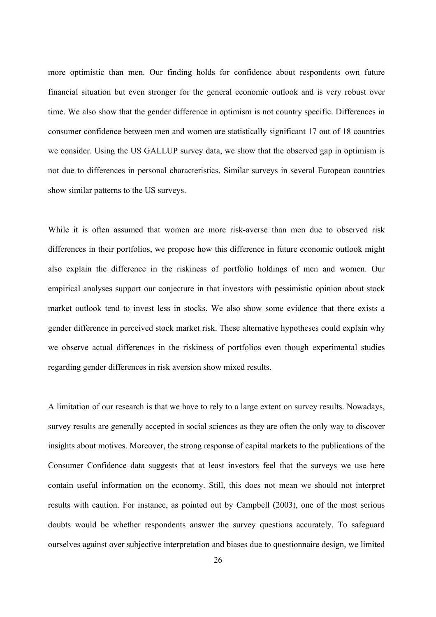more optimistic than men. Our finding holds for confidence about respondents own future financial situation but even stronger for the general economic outlook and is very robust over time. We also show that the gender difference in optimism is not country specific. Differences in consumer confidence between men and women are statistically significant 17 out of 18 countries we consider. Using the US GALLUP survey data, we show that the observed gap in optimism is not due to differences in personal characteristics. Similar surveys in several European countries show similar patterns to the US surveys.

While it is often assumed that women are more risk-averse than men due to observed risk differences in their portfolios, we propose how this difference in future economic outlook might also explain the difference in the riskiness of portfolio holdings of men and women. Our empirical analyses support our conjecture in that investors with pessimistic opinion about stock market outlook tend to invest less in stocks. We also show some evidence that there exists a gender difference in perceived stock market risk. These alternative hypotheses could explain why we observe actual differences in the riskiness of portfolios even though experimental studies regarding gender differences in risk aversion show mixed results.

A limitation of our research is that we have to rely to a large extent on survey results. Nowadays, survey results are generally accepted in social sciences as they are often the only way to discover insights about motives. Moreover, the strong response of capital markets to the publications of the Consumer Confidence data suggests that at least investors feel that the surveys we use here contain useful information on the economy. Still, this does not mean we should not interpret results with caution. For instance, as pointed out by Campbell (2003), one of the most serious doubts would be whether respondents answer the survey questions accurately. To safeguard ourselves against over subjective interpretation and biases due to questionnaire design, we limited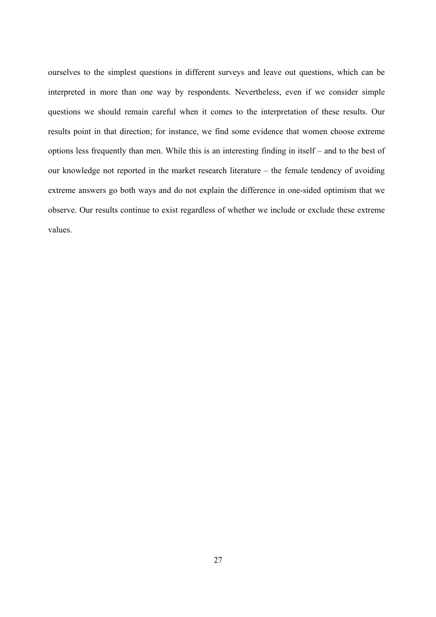ourselves to the simplest questions in different surveys and leave out questions, which can be interpreted in more than one way by respondents. Nevertheless, even if we consider simple questions we should remain careful when it comes to the interpretation of these results. Our results point in that direction; for instance, we find some evidence that women choose extreme options less frequently than men. While this is an interesting finding in itself – and to the best of our knowledge not reported in the market research literature – the female tendency of avoiding extreme answers go both ways and do not explain the difference in one-sided optimism that we observe. Our results continue to exist regardless of whether we include or exclude these extreme values.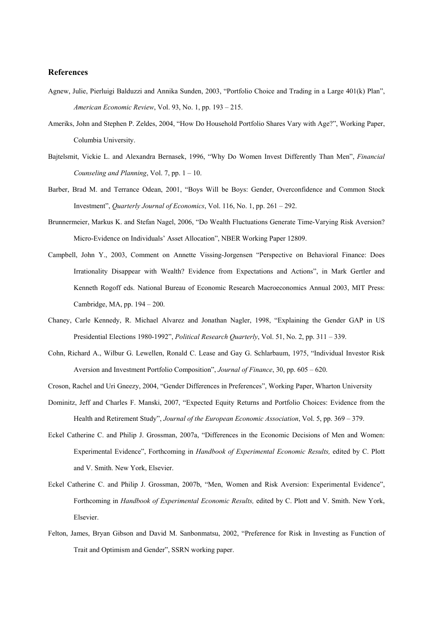#### **References**

- Agnew, Julie, Pierluigi Balduzzi and Annika Sunden, 2003, "Portfolio Choice and Trading in a Large 401(k) Plan", *American Economic Review*, Vol. 93, No. 1, pp. 193 – 215.
- Ameriks, John and Stephen P. Zeldes, 2004, "How Do Household Portfolio Shares Vary with Age?", Working Paper, Columbia University.
- Bajtelsmit, Vickie L. and Alexandra Bernasek, 1996, "Why Do Women Invest Differently Than Men", *Financial Counseling and Planning*, Vol. 7, pp. 1 – 10.
- Barber, Brad M. and Terrance Odean, 2001, "Boys Will be Boys: Gender, Overconfidence and Common Stock Investment", *Quarterly Journal of Economics*, Vol. 116, No. 1, pp. 261 – 292.
- Brunnermeier, Markus K. and Stefan Nagel, 2006, "Do Wealth Fluctuations Generate Time-Varying Risk Aversion? Micro-Evidence on Individuals' Asset Allocation", NBER Working Paper 12809.
- Campbell, John Y., 2003, Comment on Annette Vissing-Jorgensen "Perspective on Behavioral Finance: Does Irrationality Disappear with Wealth? Evidence from Expectations and Actions", in Mark Gertler and Kenneth Rogoff eds. National Bureau of Economic Research Macroeconomics Annual 2003, MIT Press: Cambridge, MA, pp. 194 – 200.
- Chaney, Carle Kennedy, R. Michael Alvarez and Jonathan Nagler, 1998, "Explaining the Gender GAP in US Presidential Elections 1980-1992", *Political Research Quarterly*, Vol. 51, No. 2, pp. 311 – 339.
- Cohn, Richard A., Wilbur G. Lewellen, Ronald C. Lease and Gay G. Schlarbaum, 1975, "Individual Investor Risk Aversion and Investment Portfolio Composition", *Journal of Finance*, 30, pp. 605 – 620.
- Croson, Rachel and Uri Gneezy, 2004, "Gender Differences in Preferences", Working Paper, Wharton University
- Dominitz, Jeff and Charles F. Manski, 2007, "Expected Equity Returns and Portfolio Choices: Evidence from the Health and Retirement Study", *Journal of the European Economic Association*, Vol. 5, pp. 369 – 379.
- Eckel Catherine C. and Philip J. Grossman, 2007a, "Differences in the Economic Decisions of Men and Women: Experimental Evidence", Forthcoming in *Handbook of Experimental Economic Results,* edited by C. Plott and V. Smith. New York, Elsevier.
- Eckel Catherine C. and Philip J. Grossman, 2007b, "Men, Women and Risk Aversion: Experimental Evidence", Forthcoming in *Handbook of Experimental Economic Results,* edited by C. Plott and V. Smith. New York, Elsevier.
- Felton, James, Bryan Gibson and David M. Sanbonmatsu, 2002, "Preference for Risk in Investing as Function of Trait and Optimism and Gender", SSRN working paper.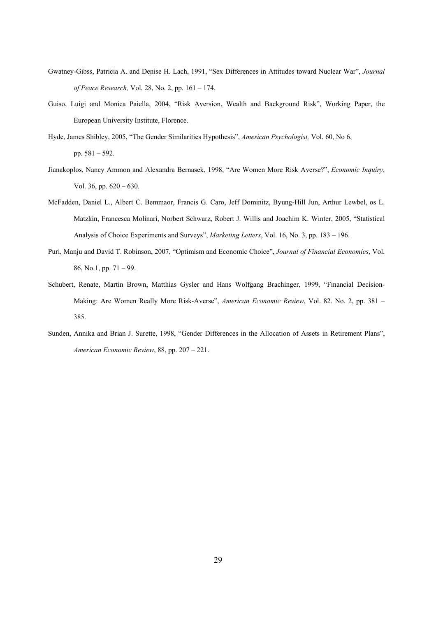- Gwatney-Gibss, Patricia A. and Denise H. Lach, 1991, "Sex Differences in Attitudes toward Nuclear War", *Journal of Peace Research,* Vol. 28, No. 2, pp. 161 – 174.
- Guiso, Luigi and Monica Paiella, 2004, "Risk Aversion, Wealth and Background Risk", Working Paper, the European University Institute, Florence.
- Hyde, James Shibley, 2005, "The Gender Similarities Hypothesis", *American Psychologist,* Vol. 60, No 6, pp. 581 – 592.
- Jianakoplos, Nancy Ammon and Alexandra Bernasek, 1998, "Are Women More Risk Averse?", *Economic Inquiry*, Vol. 36, pp. 620 – 630.
- McFadden, Daniel L., Albert C. Bemmaor, Francis G. Caro, Jeff Dominitz, Byung-Hill Jun, Arthur Lewbel, os L. Matzkin, Francesca Molinari, Norbert Schwarz, Robert J. Willis and Joachim K. Winter, 2005, "Statistical Analysis of Choice Experiments and Surveys", *Marketing Letters*, Vol. 16, No. 3, pp. 183 – 196.
- Puri, Manju and David T. Robinson, 2007, "Optimism and Economic Choice", *Journal of Financial Economics*, Vol. 86, No.1, pp. 71 – 99.
- Schubert, Renate, Martin Brown, Matthias Gysler and Hans Wolfgang Brachinger, 1999, "Financial Decision-Making: Are Women Really More Risk-Averse", *American Economic Review*, Vol. 82. No. 2, pp. 381 – 385.
- Sunden, Annika and Brian J. Surette, 1998, "Gender Differences in the Allocation of Assets in Retirement Plans", *American Economic Review*, 88, pp. 207 – 221.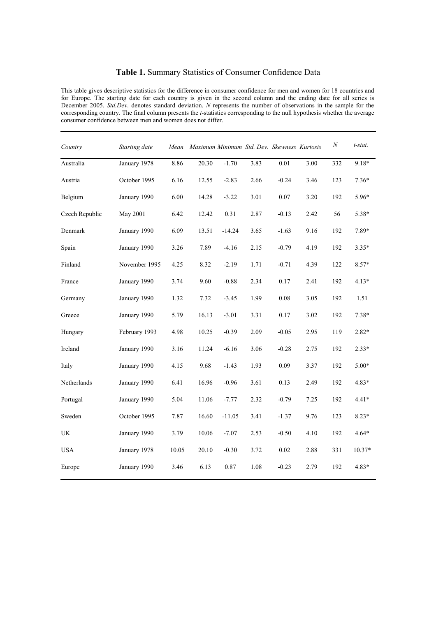# **Table 1.** Summary Statistics of Consumer Confidence Data

This table gives descriptive statistics for the difference in consumer confidence for men and women for 18 countries and for Europe. The starting date for each country is given in the second column and the ending date for all series is December 2005. *Std.Dev*. denotes standard deviation. *N* represents the number of observations in the sample for the corresponding country. The final column presents the *t*-statistics corresponding to the null hypothesis whether the average consumer confidence between men and women does not differ.

| Country                         | Starting date | Mean  |       |          |      | Maximum Minimum Std. Dev. Skewness Kurtosis |      | $\cal N$ | t-stat.  |
|---------------------------------|---------------|-------|-------|----------|------|---------------------------------------------|------|----------|----------|
| Australia                       | January 1978  | 8.86  | 20.30 | $-1.70$  | 3.83 | 0.01                                        | 3.00 | 332      | $9.18*$  |
| Austria                         | October 1995  | 6.16  | 12.55 | $-2.83$  | 2.66 | $-0.24$                                     | 3.46 | 123      | $7.36*$  |
| Belgium                         | January 1990  | 6.00  | 14.28 | $-3.22$  | 3.01 | 0.07                                        | 3.20 | 192      | 5.96*    |
| Czech Republic                  | May 2001      | 6.42  | 12.42 | 0.31     | 2.87 | $-0.13$                                     | 2.42 | 56       | 5.38*    |
| Denmark                         | January 1990  | 6.09  | 13.51 | $-14.24$ | 3.65 | $-1.63$                                     | 9.16 | 192      | 7.89*    |
| Spain                           | January 1990  | 3.26  | 7.89  | $-4.16$  | 2.15 | $-0.79$                                     | 4.19 | 192      | $3.35*$  |
| Finland                         | November 1995 | 4.25  | 8.32  | $-2.19$  | 1.71 | $-0.71$                                     | 4.39 | 122      | 8.57*    |
| France                          | January 1990  | 3.74  | 9.60  | $-0.88$  | 2.34 | 0.17                                        | 2.41 | 192      | $4.13*$  |
| Germany                         | January 1990  | 1.32  | 7.32  | $-3.45$  | 1.99 | 0.08                                        | 3.05 | 192      | 1.51     |
| Greece                          | January 1990  | 5.79  | 16.13 | $-3.01$  | 3.31 | 0.17                                        | 3.02 | 192      | $7.38*$  |
| Hungary                         | February 1993 | 4.98  | 10.25 | $-0.39$  | 2.09 | $-0.05$                                     | 2.95 | 119      | 2.82*    |
| Ireland                         | January 1990  | 3.16  | 11.24 | $-6.16$  | 3.06 | $-0.28$                                     | 2.75 | 192      | $2.33*$  |
| Italy                           | January 1990  | 4.15  | 9.68  | $-1.43$  | 1.93 | 0.09                                        | 3.37 | 192      | $5.00*$  |
| Netherlands                     | January 1990  | 6.41  | 16.96 | $-0.96$  | 3.61 | 0.13                                        | 2.49 | 192      | 4.83*    |
| Portugal                        | January 1990  | 5.04  | 11.06 | $-7.77$  | 2.32 | $-0.79$                                     | 7.25 | 192      | $4.41*$  |
| Sweden                          | October 1995  | 7.87  | 16.60 | $-11.05$ | 3.41 | $-1.37$                                     | 9.76 | 123      | $8.23*$  |
| $\ensuremath{\text{UK}}\xspace$ | January 1990  | 3.79  | 10.06 | $-7.07$  | 2.53 | $-0.50$                                     | 4.10 | 192      | $4.64*$  |
| <b>USA</b>                      | January 1978  | 10.05 | 20.10 | $-0.30$  | 3.72 | 0.02                                        | 2.88 | 331      | $10.37*$ |
| Europe                          | January 1990  | 3.46  | 6.13  | 0.87     | 1.08 | $-0.23$                                     | 2.79 | 192      | 4.83*    |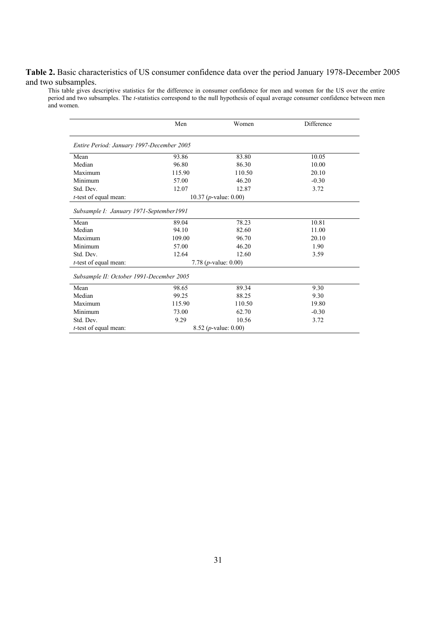# **Table 2.** Basic characteristics of US consumer confidence data over the period January 1978-December 2005 and two subsamples.

This table gives descriptive statistics for the difference in consumer confidence for men and women for the US over the entire period and two subsamples. The *t*-statistics correspond to the null hypothesis of equal average consumer confidence between men and women.

|                                           | Men    | Women                            | Difference |
|-------------------------------------------|--------|----------------------------------|------------|
| Entire Period: January 1997-December 2005 |        |                                  |            |
| Mean                                      | 93.86  | 83.80                            | 10.05      |
| Median                                    | 96.80  | 86.30                            | 10.00      |
| Maximum                                   | 115.90 | 110.50                           | 20.10      |
| Minimum                                   | 57.00  | 46.20                            | $-0.30$    |
| Std. Dev.                                 | 12.07  | 12.87                            | 3.72       |
| t-test of equal mean:                     |        | 10.37 ( $p$ -value: 0.00)        |            |
| Subsample I: January 1971-September1991   |        |                                  |            |
| Mean                                      | 89.04  | 78.23                            | 10.81      |
| Median                                    | 94.10  | 82.60                            | 11.00      |
| Maximum                                   | 109.00 | 96.70                            | 20.10      |
| Minimum                                   | 57.00  | 46.20                            | 1.90       |
| Std. Dev.                                 | 12.64  | 12.60                            | 3.59       |
| <i>t</i> -test of equal mean:             |        | 7.78 ( $p$ -value: 0.00)         |            |
| Subsample II: October 1991-December 2005  |        |                                  |            |
| Mean                                      | 98.65  | 89.34                            | 9.30       |
| Median                                    | 99.25  | 88.25                            | 9.30       |
| Maximum                                   | 115.90 | 110.50                           | 19.80      |
| Minimum                                   | 73.00  | 62.70                            | $-0.30$    |
| Std. Dev.                                 | 9.29   | 10.56                            | 3.72       |
| t-test of equal mean:                     |        | 8.52 ( <i>p</i> -value: $0.00$ ) |            |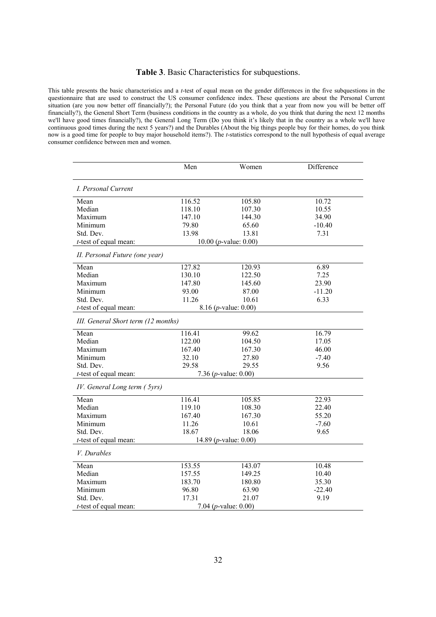#### **Table 3**. Basic Characteristics for subquestions.

This table presents the basic characteristics and a *t*-test of equal mean on the gender differences in the five subquestions in the questionnaire that are used to construct the US consumer confidence index. These questions are about the Personal Current situation (are you now better off financially?); the Personal Future (do you think that a year from now you will be better off financially?), the General Short Term (business conditions in the country as a whole, do you think that during the next 12 months we'll have good times financially?), the General Long Term (Do you think it's likely that in the country as a whole we'll have continuous good times during the next 5 years?) and the Durables (About the big things people buy for their homes, do you think now is a good time for people to buy major household items?). The *t*-statistics correspond to the null hypothesis of equal average consumer confidence between men and women.

|                                     | Men    | Women                         | Difference |
|-------------------------------------|--------|-------------------------------|------------|
|                                     |        |                               |            |
| I. Personal Current                 |        |                               |            |
| Mean                                | 116.52 | 105.80                        | 10.72      |
| Median                              | 118.10 | 107.30                        | 10.55      |
| Maximum                             | 147.10 | 144.30                        | 34.90      |
| Minimum                             | 79.80  | 65.60                         | $-10.40$   |
| Std. Dev.                           | 13.98  | 13.81                         | 7.31       |
| $t$ -test of equal mean:            |        | 10.00 ( $p$ -value: 0.00)     |            |
| II. Personal Future (one year)      |        |                               |            |
| Mean                                | 127.82 | 120.93                        | 6.89       |
| Median                              | 130.10 | 122.50                        | 7.25       |
| Maximum                             | 147.80 | 145.60                        | 23.90      |
| Minimum                             | 93.00  | 87.00                         | $-11.20$   |
| Std. Dev.                           | 11.26  | 10.61                         | 6.33       |
| $t$ -test of equal mean:            |        | 8.16 ( <i>p</i> -value: 0.00) |            |
| III. General Short term (12 months) |        |                               |            |
| Mean                                | 116.41 | 99.62                         | 16.79      |
| Median                              | 122.00 | 104.50                        | 17.05      |
| Maximum                             | 167.40 | 167.30                        | 46.00      |
| Minimum                             | 32.10  | 27.80                         | $-7.40$    |
| Std. Dev.                           | 29.58  | 29.55                         | 9.56       |
| $t$ -test of equal mean:            |        | 7.36 ( $p$ -value: 0.00)      |            |
| IV. General Long term (5yrs)        |        |                               |            |
| Mean                                | 116.41 | 105.85                        | 22.93      |
| Median                              | 119.10 | 108.30                        | 22.40      |
| Maximum                             | 167.40 | 167.30                        | 55.20      |
| Minimum                             | 11.26  | 10.61                         | $-7.60$    |
| Std. Dev.                           | 18.67  | 18.06                         | 9.65       |
| $t$ -test of equal mean:            |        | 14.89 ( $p$ -value: 0.00)     |            |
| V. Durables                         |        |                               |            |
| Mean                                | 153.55 | 143.07                        | 10.48      |
| Median                              | 157.55 | 149.25                        | 10.40      |
| Maximum                             | 183.70 | 180.80                        | 35.30      |
| Minimum                             | 96.80  | 63.90                         | $-22.40$   |
| Std. Dev.                           | 17.31  | 21.07                         | 9.19       |
| $t$ -test of equal mean:            |        | 7.04 ( $p$ -value: 0.00)      |            |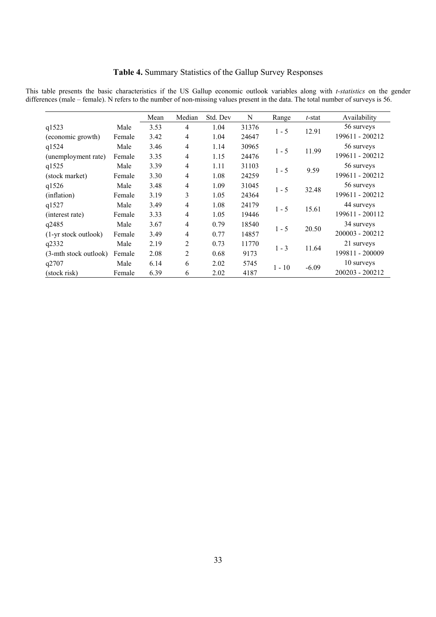# **Table 4.** Summary Statistics of the Gallup Survey Responses

This table presents the basic characteristics if the US Gallup economic outlook variables along with *t-statistics* on the gender differences (male – female). N refers to the number of non-missing values present in the data. The total number of surveys is 56.

|                       |        | Mean | Median         | Std. Dev | N     | Range    | t-stat  | Availability    |
|-----------------------|--------|------|----------------|----------|-------|----------|---------|-----------------|
| q1523                 | Male   | 3.53 | $\overline{4}$ | 1.04     | 31376 | $1 - 5$  |         | 56 surveys      |
| (economic growth)     | Female | 3.42 | 4              | 1.04     | 24647 |          | 12.91   | 199611 - 200212 |
| q1524                 | Male   | 3.46 | 4              | 1.14     | 30965 | $1 - 5$  |         | 56 surveys      |
| (unemployment rate)   | Female | 3.35 | $\overline{4}$ | 1.15     | 24476 |          | 11.99   | 199611 - 200212 |
| q1525                 | Male   | 3.39 | $\overline{4}$ | 1.11     | 31103 | $1 - 5$  | 9.59    | 56 surveys      |
| (stock market)        | Female | 3.30 | 4              | 1.08     | 24259 |          |         | 199611 - 200212 |
| q1526                 | Male   | 3.48 | 4              | 1.09     | 31045 | $1 - 5$  | 32.48   | 56 surveys      |
| (inflation)           | Female | 3.19 | 3              | 1.05     | 24364 |          |         | 199611 - 200212 |
| q1527                 | Male   | 3.49 | 4              | 1.08     | 24179 | $1 - 5$  |         | 44 surveys      |
| (interest rate)       | Female | 3.33 | 4              | 1.05     | 19446 |          | 15.61   | 199611 - 200112 |
| q2485                 | Male   | 3.67 | $\overline{4}$ | 0.79     | 18540 |          |         | 34 surveys      |
| (1-yr stock outlook)  | Female | 3.49 | 4              | 0.77     | 14857 | $1 - 5$  | 20.50   | 200003 - 200212 |
| q2332                 | Male   | 2.19 | $\overline{2}$ | 0.73     | 11770 |          |         | 21 surveys      |
| (3-mth stock outlook) | Female | 2.08 | 2              | 0.68     | 9173  | $1 - 3$  | 11.64   | 199811 - 200009 |
| q2707                 | Male   | 6.14 | 6              | 2.02     | 5745  |          | $-6.09$ | 10 surveys      |
| (stock risk)          | Female | 6.39 | 6              | 2.02     | 4187  | $1 - 10$ |         | 200203 - 200212 |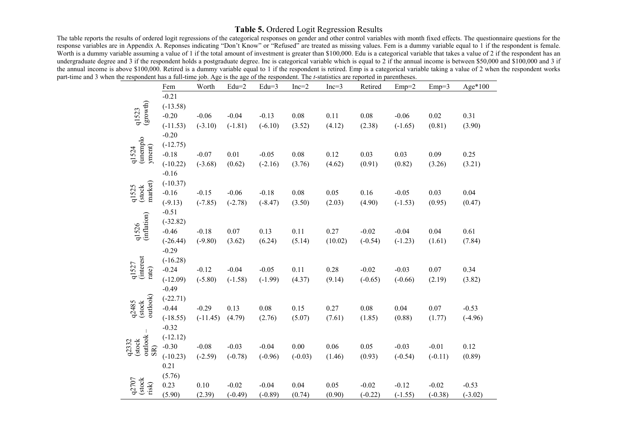# **Table 5.** Ordered Logit Regression Results

The table reports the results of ordered logit regressions of the categorical responses on gender and other control variables with month fixed effects. The questionnaire questions for the response variables are in Appendix A. Reponses indicating "Don't Know" or "Refused" are treated as missing values. Fem is a dummy variable equal to 1 if the respondent is female. Worth is a dummy variable assuming a value of 1 if the total amount of investment is greater than \$100,000. Edu is a categorical variable that takes a value of 2 if the respondent has an undergraduate degree and 3 if the respondent holds a postgraduate degree. Inc is categorical variable which is equal to 2 if the annual income is between \$50,000 and \$100,000 and 3 if the annual income is above \$100,000. Retired is a dummy variable equal to 1 if the respondent is retired. Emp is a categorical variable taking a value of 2 when the respondent works part-time and 3 when the respondent has a full-time job. Age is the age of the respondent. The *t*-statistics are reported in parentheses.

|                             | Fem                   | Worth      | $Edu=2$   | $Edu=3$   | $Inc=2$   | $Inc=3$ | Retired   | $Emp=2$   | $Emp=3$   | Age*100   |
|-----------------------------|-----------------------|------------|-----------|-----------|-----------|---------|-----------|-----------|-----------|-----------|
|                             | $-0.21$               |            |           |           |           |         |           |           |           |           |
| (growth)                    | $(-13.58)$            |            |           |           |           |         |           |           |           |           |
| q1523                       | $-0.20$               | $-0.06$    | $-0.04$   | $-0.13$   | 0.08      | 0.11    | 0.08      | $-0.06$   | 0.02      | 0.31      |
|                             | $(-11.53)$            | $(-3.10)$  | $(-1.81)$ | $(-6.10)$ | (3.52)    | (4.12)  | (2.38)    | $(-1.65)$ | (0.81)    | (3.90)    |
|                             | $-0.20$               |            |           |           |           |         |           |           |           |           |
| (unemplo                    | $(-12.75)$            |            |           |           |           |         |           |           |           |           |
| yment)<br>q1524             | $-0.18$               | $-0.07$    | 0.01      | $-0.05$   | 0.08      | 0.12    | 0.03      | 0.03      | 0.09      | 0.25      |
|                             | $(-10.22)$            | $(-3.68)$  | (0.62)    | $(-2.16)$ | (3.76)    | (4.62)  | (0.91)    | (0.82)    | (3.26)    | (3.21)    |
|                             | $-0.16$               |            |           |           |           |         |           |           |           |           |
| market)                     | $(-10.37)$            |            |           |           |           |         |           |           |           |           |
| (stock<br>q1525             | $-0.16$               | $-0.15$    | $-0.06$   | $-0.18$   | 0.08      | 0.05    | 0.16      | $-0.05$   | 0.03      | 0.04      |
|                             | $(-9.13)$             | $(-7.85)$  | $(-2.78)$ | $(-8.47)$ | (3.50)    | (2.03)  | (4.90)    | $(-1.53)$ | (0.95)    | (0.47)    |
|                             | $-0.51$               |            |           |           |           |         |           |           |           |           |
| (inflation)<br>q1526        | $(-32.82)$            |            |           |           |           |         |           |           |           |           |
|                             | $-0.46$               | $-0.18$    | 0.07      | 0.13      | 0.11      | 0.27    | $-0.02$   | $-0.04$   | 0.04      | 0.61      |
|                             | $(-26.44)$            | $(-9.80)$  | (3.62)    | (6.24)    | (5.14)    | (10.02) | $(-0.54)$ | $(-1.23)$ | (1.61)    | (7.84)    |
|                             | $-0.29$               |            |           |           |           |         |           |           |           |           |
| q1527<br>(interest          | $(-16.28)$            |            |           |           |           |         |           |           |           |           |
| rate)                       | $-0.24$               | $-0.12$    | $-0.04$   | $-0.05$   | 0.11      | 0.28    | $-0.02$   | $-0.03$   | 0.07      | 0.34      |
|                             | $(-12.09)$<br>$-0.49$ | $(-5.80)$  | $(-1.58)$ | $(-1.99)$ | (4.37)    | (9.14)  | $(-0.65)$ | $(-0.66)$ | (2.19)    | (3.82)    |
|                             | $(-22.71)$            |            |           |           |           |         |           |           |           |           |
| outlook)<br>(stock<br>q2485 | $-0.44$               | $-0.29$    | 0.13      | 0.08      | 0.15      | 0.27    | 0.08      | 0.04      | 0.07      | $-0.53$   |
|                             | $(-18.55)$            | $(-11.45)$ | (4.79)    | (2.76)    | (5.07)    | (7.61)  | (1.85)    | (0.88)    | (1.77)    | $(-4.96)$ |
|                             | $-0.32$               |            |           |           |           |         |           |           |           |           |
|                             | $(-12.12)$            |            |           |           |           |         |           |           |           |           |
| outlook<br>(stock<br>q2332  | $-0.30$               | $-0.08$    | $-0.03$   | $-0.04$   | 0.00      | 0.06    | 0.05      | $-0.03$   | $-0.01$   | 0.12      |
| SR)                         | $(-10.23)$            | $(-2.59)$  | $(-0.78)$ | $(-0.96)$ | $(-0.03)$ | (1.46)  | (0.93)    | $(-0.54)$ | $(-0.11)$ | (0.89)    |
|                             | 0.21                  |            |           |           |           |         |           |           |           |           |
|                             | (5.76)                |            |           |           |           |         |           |           |           |           |
| $q2707$<br>(stock<br>risk)  | 0.23                  | 0.10       | $-0.02$   | $-0.04$   | 0.04      | 0.05    | $-0.02$   | $-0.12$   | $-0.02$   | $-0.53$   |
|                             | (5.90)                | (2.39)     | $(-0.49)$ | $(-0.89)$ | (0.74)    | (0.90)  | $(-0.22)$ | $(-1.55)$ | $(-0.38)$ | $(-3.02)$ |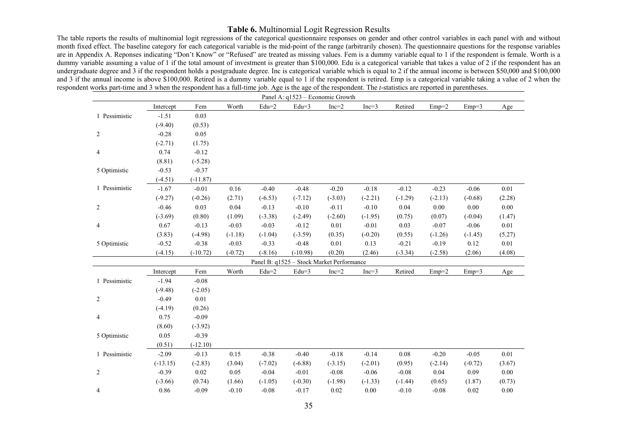# **Table 6.** Multinomial Logit Regression Results

The table reports the results of multinomial logit regressions of the categorical questionnaire responses on gender and other control variables in each panel with and without month fixed effect. The baseline category for each categorical variable is the mid-point of the range (arbitrarily chosen). The questionnaire questions for the response variables are in Appendix A. Reponses indicating "Don't Know" or "Refused" are treated as missing values. Fem is a dummy variable equal to 1 if the respondent is female. Worth is a dummy variable assuming a value of 1 if the total amount of investment is greater than \$100,000. Edu is a categorical variable that takes a value of 2 if the respondent has an undergraduate degree and 3 if the respondent holds a postgraduate degree. Inc is categorical variable which is equal to 2 if the annual income is between \$50,000 and \$100,000 and 3 if the annual income is above \$100,000. Retired is a dummy variable equal to 1 if the respondent is retired. Emp is a categorical variable taking a value of 2 when the respondent works part-time and 3 when the respondent has a full-time job. Age is the age of the respondent. The *t*-statistics are reported in parentheses.

|                |            |            |           |                | Panel A: q1523 - Economic Growth          |           |           |           |           |           |          |
|----------------|------------|------------|-----------|----------------|-------------------------------------------|-----------|-----------|-----------|-----------|-----------|----------|
|                | Intercept  | Fem        | Worth     | $\mbox{Edu=2}$ | $Edu=3$                                   | $Inc=2$   | $Inc=3$   | Retired   | $Emp=2$   | $Emp=3$   | Age      |
| 1 Pessimistic  | $-1.51$    | 0.03       |           |                |                                           |           |           |           |           |           |          |
|                | $(-9.40)$  | (0.53)     |           |                |                                           |           |           |           |           |           |          |
| 2              | $-0.28$    | 0.05       |           |                |                                           |           |           |           |           |           |          |
|                | $(-2.71)$  | (1.75)     |           |                |                                           |           |           |           |           |           |          |
| $\overline{4}$ | 0.74       | $-0.12$    |           |                |                                           |           |           |           |           |           |          |
|                | (8.81)     | $(-5.28)$  |           |                |                                           |           |           |           |           |           |          |
| 5 Optimistic   | $-0.53$    | $-0.37$    |           |                |                                           |           |           |           |           |           |          |
|                | $(-4.51)$  | $(-11.87)$ |           |                |                                           |           |           |           |           |           |          |
| 1 Pessimistic  | $-1.67$    | $-0.01$    | 0.16      | $-0.40$        | $-0.48$                                   | $-0.20$   | $-0.18$   | $-0.12$   | $-0.23$   | $-0.06$   | 0.01     |
|                | $(-9.27)$  | $(-0.26)$  | (2.71)    | $(-6.53)$      | $(-7.12)$                                 | $(-3.03)$ | $(-2.21)$ | $(-1.29)$ | $(-2.13)$ | $(-0.68)$ | (2.28)   |
| 2              | $-0.46$    | 0.03       | 0.04      | $-0.13$        | $-0.10$                                   | $-0.11$   | $-0.10$   | 0.04      | 0.00      | 0.00      | 0.00     |
|                | $(-3.69)$  | (0.80)     | (1.09)    | $(-3.38)$      | $(-2.49)$                                 | $(-2.60)$ | $(-1.95)$ | (0.75)    | (0.07)    | $(-0.04)$ | (1.47)   |
| $\overline{4}$ | 0.67       | $-0.13$    | $-0.03$   | $-0.03$        | $-0.12$                                   | 0.01      | $-0.01$   | 0.03      | $-0.07$   | $-0.06$   | $0.01\,$ |
|                | (3.83)     | $(-4.98)$  | $(-1.18)$ | $(-1.04)$      | $(-3.59)$                                 | (0.35)    | $(-0.20)$ | (0.55)    | $(-1.26)$ | $(-1.45)$ | (5.27)   |
| 5 Optimistic   | $-0.52$    | $-0.38$    | $-0.03$   | $-0.33$        | $-0.48$                                   | 0.01      | 0.13      | $-0.21$   | $-0.19$   | 0.12      | $0.01\,$ |
|                | $(-4.15)$  | $(-10.72)$ | $(-0.72)$ | $(-8.16)$      | $(-10.98)$                                | (0.20)    | (2.46)    | $(-3.34)$ | $(-2.58)$ | (2.06)    | (4.08)   |
|                |            |            |           |                | Panel B: q1525 - Stock Market Performance |           |           |           |           |           |          |
|                | Intercept  | Fem        | Worth     | $Edu=2$        | $Edu=3$                                   | $Inc=2$   | $Inc=3$   | Retired   | $Emp=2$   | $Emp=3$   | Age      |
| 1 Pessimistic  | $-1.94$    | $-0.08$    |           |                |                                           |           |           |           |           |           |          |
|                | $(-9.48)$  | $(-2.05)$  |           |                |                                           |           |           |           |           |           |          |
| $\overline{c}$ | $-0.49$    | 0.01       |           |                |                                           |           |           |           |           |           |          |
|                | $(-4.19)$  | (0.26)     |           |                |                                           |           |           |           |           |           |          |
| 4              | 0.75       | $-0.09$    |           |                |                                           |           |           |           |           |           |          |
|                | (8.60)     | $(-3.92)$  |           |                |                                           |           |           |           |           |           |          |
| 5 Optimistic   | 0.05       | $-0.39$    |           |                |                                           |           |           |           |           |           |          |
|                | (0.51)     | $(-12.10)$ |           |                |                                           |           |           |           |           |           |          |
| 1 Pessimistic  | $-2.09$    | $-0.13$    | 0.15      | $-0.38$        | $-0.40$                                   | $-0.18$   | $-0.14$   | 0.08      | $-0.20$   | $-0.05$   | 0.01     |
|                | $(-13.15)$ | $(-2.83)$  | (3.04)    | $(-7.02)$      | $(-6.88)$                                 | $(-3.15)$ | $(-2.01)$ | (0.95)    | $(-2.14)$ | $(-0.72)$ | (3.67)   |
| $\overline{c}$ | $-0.39$    | 0.02       | 0.05      | $-0.04$        | $-0.01$                                   | $-0.08$   | $-0.06$   | $-0.08$   | 0.04      | 0.09      | $0.00\,$ |
|                | $(-3.66)$  | (0.74)     | (1.66)    | $(-1.05)$      | $(-0.30)$                                 | $(-1.98)$ | $(-1.33)$ | $(-1.44)$ | (0.65)    | (1.87)    | (0.73)   |
| 4              | 0.86       | $-0.09$    | $-0.10$   | $-0.08$        | $-0.17$                                   | 0.02      | 0.00      | $-0.10$   | $-0.08$   | 0.02      | 0.00     |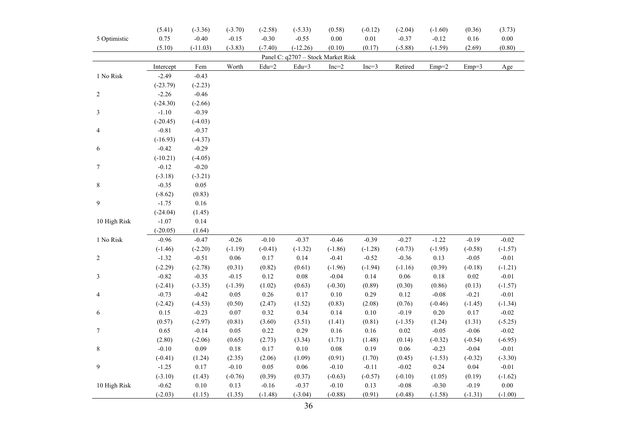|                | (5.41)     | $(-3.36)$  | $(-3.70)$ | $(-2.58)$ | $(-5.33)$                          | (0.58)    | $(-0.12)$ | $(-2.04)$ | $(-1.60)$ | (0.36)    | (3.73)    |
|----------------|------------|------------|-----------|-----------|------------------------------------|-----------|-----------|-----------|-----------|-----------|-----------|
| 5 Optimistic   | 0.75       | $-0.40$    | $-0.15$   | $-0.30$   | $-0.55$                            | $0.00\,$  | $0.01\,$  | $-0.37$   | $-0.12$   | $0.16\,$  | $0.00\,$  |
|                | (5.10)     | $(-11.03)$ | $(-3.83)$ | $(-7.40)$ | $(-12.26)$                         | (0.10)    | (0.17)    | $(-5.88)$ | $(-1.59)$ | (2.69)    | (0.80)    |
|                |            |            |           |           | Panel C: q2707 - Stock Market Risk |           |           |           |           |           |           |
|                | Intercept  | Fem        | Worth     | $Edu=2$   | $Edu=3$                            | $Inc=2$   | $Inc=3$   | Retired   | $Emp=2$   | $Emp=3$   | Age       |
| 1 No Risk      | $-2.49$    | $-0.43$    |           |           |                                    |           |           |           |           |           |           |
|                | $(-23.79)$ | $(-2.23)$  |           |           |                                    |           |           |           |           |           |           |
| $\overline{c}$ | $-2.26$    | $-0.46$    |           |           |                                    |           |           |           |           |           |           |
|                | $(-24.30)$ | $(-2.66)$  |           |           |                                    |           |           |           |           |           |           |
| 3              | $-1.10$    | $-0.39$    |           |           |                                    |           |           |           |           |           |           |
|                | $(-20.45)$ | $(-4.03)$  |           |           |                                    |           |           |           |           |           |           |
| 4              | $-0.81$    | $-0.37$    |           |           |                                    |           |           |           |           |           |           |
|                | $(-16.93)$ | $(-4.37)$  |           |           |                                    |           |           |           |           |           |           |
| 6              | $-0.42$    | $-0.29$    |           |           |                                    |           |           |           |           |           |           |
|                | $(-10.21)$ | $(-4.05)$  |           |           |                                    |           |           |           |           |           |           |
| $\tau$         | $-0.12$    | $-0.20$    |           |           |                                    |           |           |           |           |           |           |
|                | $(-3.18)$  | $(-3.21)$  |           |           |                                    |           |           |           |           |           |           |
| 8              | $-0.35$    | 0.05       |           |           |                                    |           |           |           |           |           |           |
|                | $(-8.62)$  | (0.83)     |           |           |                                    |           |           |           |           |           |           |
| 9              | $-1.75$    | $0.16\,$   |           |           |                                    |           |           |           |           |           |           |
|                | $(-24.04)$ | (1.45)     |           |           |                                    |           |           |           |           |           |           |
| 10 High Risk   | $-1.07$    | 0.14       |           |           |                                    |           |           |           |           |           |           |
|                | $(-20.05)$ | (1.64)     |           |           |                                    |           |           |           |           |           |           |
| 1 No Risk      | $-0.96$    | $-0.47$    | $-0.26$   | $-0.10$   | $-0.37$                            | $-0.46$   | $-0.39$   | $-0.27$   | $-1.22$   | $-0.19$   | $-0.02$   |
|                | $(-1.46)$  | $(-2.20)$  | $(-1.19)$ | $(-0.41)$ | $(-1.32)$                          | $(-1.86)$ | $(-1.28)$ | $(-0.73)$ | $(-1.95)$ | $(-0.58)$ | $(-1.57)$ |
| $\overline{c}$ | $-1.32$    | $-0.51$    | $0.06\,$  | 0.17      | 0.14                               | $-0.41$   | $-0.52$   | $-0.36$   | 0.13      | $-0.05$   | $-0.01$   |
|                | $(-2.29)$  | $(-2.78)$  | (0.31)    | (0.82)    | (0.61)                             | $(-1.96)$ | $(-1.94)$ | $(-1.16)$ | (0.39)    | $(-0.18)$ | $(-1.21)$ |
| 3              | $-0.82$    | $-0.35$    | $-0.15$   | 0.12      | $0.08\,$                           | $-0.04$   | 0.14      | 0.06      | 0.18      | 0.02      | $-0.01$   |
|                | $(-2.41)$  | $(-3.35)$  | $(-1.39)$ | (1.02)    | (0.63)                             | $(-0.30)$ | (0.89)    | (0.30)    | (0.86)    | (0.13)    | $(-1.57)$ |
| $\overline{4}$ | $-0.73$    | $-0.42$    | $0.05\,$  | $0.26\,$  | 0.17                               | $0.10\,$  | 0.29      | 0.12      | $-0.08$   | $-0.21$   | $-0.01$   |
|                | $(-2.42)$  | $(-4.53)$  | (0.50)    | (2.47)    | (1.52)                             | (0.83)    | (2.08)    | (0.76)    | $(-0.46)$ | $(-1.45)$ | $(-1.34)$ |
| 6              | 0.15       | $-0.23$    | $0.07\,$  | 0.32      | 0.34                               | 0.14      | $0.10\,$  | $-0.19$   | 0.20      | 0.17      | $-0.02$   |
|                | (0.57)     | $(-2.97)$  | (0.81)    | (3.60)    | (3.51)                             | (1.41)    | (0.81)    | $(-1.35)$ | (1.24)    | (1.31)    | $(-5.25)$ |
| $\tau$         | 0.65       | $-0.14$    | 0.05      | 0.22      | 0.29                               | 0.16      | 0.16      | 0.02      | $-0.05$   | $-0.06$   | $-0.02$   |
|                | (2.80)     | $(-2.06)$  | (0.65)    | (2.73)    | (3.34)                             | (1.71)    | (1.48)    | (0.14)    | $(-0.32)$ | $(-0.54)$ | $(-6.95)$ |
| $\,8\,$        | $-0.10$    | 0.09       | 0.18      | $0.17\,$  | $0.10\,$                           | $0.08\,$  | 0.19      | 0.06      | $-0.23$   | $-0.04$   | $-0.01$   |
|                | $(-0.41)$  | (1.24)     | (2.35)    | (2.06)    | (1.09)                             | (0.91)    | (1.70)    | (0.45)    | $(-1.53)$ | $(-0.32)$ | $(-3.30)$ |
| 9              | $-1.25$    | 0.17       | $-0.10$   | $0.05\,$  | $0.06\,$                           | $-0.10$   | $-0.11$   | $-0.02$   | 0.24      | 0.04      | $-0.01$   |
|                | $(-3.10)$  | (1.43)     | $(-0.76)$ | (0.39)    | (0.37)                             | $(-0.63)$ | $(-0.57)$ | $(-0.10)$ | (1.05)    | (0.19)    | $(-1.62)$ |
| 10 High Risk   | $-0.62$    | $0.10\,$   | 0.13      | $-0.16$   | $-0.37$                            | $-0.10$   | 0.13      | $-0.08$   | $-0.30$   | $-0.19$   | 0.00      |
|                | $(-2.03)$  | (1.15)     | (1.35)    | $(-1.48)$ | $(-3.04)$                          | $(-0.88)$ | (0.91)    | $(-0.48)$ | $(-1.58)$ | $(-1.31)$ | $(-1.00)$ |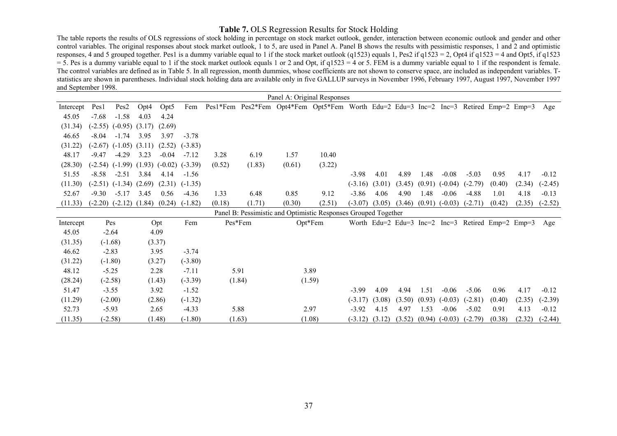# **Table 7.** OLS Regression Results for Stock Holding

The table reports the results of OLS regressions of stock holding in percentage on stock market outlook, gender, interaction between economic outlook and gender and other control variables. The original responses about stock market outlook, 1 to 5, are used in Panel A. Panel B shows the results with pessimistic responses, 1 and 2 and optimistic responses, 4 and 5 grouped together. Pes1 is a dummy variable equal to 1 if the stock market outlook (q1523) equals 1, Pes2 if q1523 = 2, Opt4 if q1523 = 4 and Opt5, if q1523  $=$  5. Pes is a dummy variable equal to 1 if the stock market outlook equals 1 or 2 and Opt, if q1523 = 4 or 5. FEM is a dummy variable equal to 1 if the respondent is female. The control variables are defined as in Table 5. In all regression, month dummies, whose coefficients are not shown to conserve space, are included as independent variables. Tstatistics are shown in parentheses. Individual stock holding data are available only in five GALLUP surveys in November 1996, February 1997, August 1997, November 1997 and September 1998.

|           |         |                              |      |                                        |           |        |         | Panel A: Original Responses                                                           |         |           |        |        |        |                    |                                                   |        |        |           |
|-----------|---------|------------------------------|------|----------------------------------------|-----------|--------|---------|---------------------------------------------------------------------------------------|---------|-----------|--------|--------|--------|--------------------|---------------------------------------------------|--------|--------|-----------|
| Intercept | Pes1    | Pes <sub>2</sub>             | Opt4 | Opt <sub>5</sub>                       | Fem       |        |         | Pes1*Fem Pes2*Fem Opt4*Fem Opt5*Fem Worth Edu=2 Edu=3 Inc=2 Inc=3 Retired Emp=2 Emp=3 |         |           |        |        |        |                    |                                                   |        |        | Age       |
| 45.05     | $-7.68$ | $-1.58$                      | 4.03 | 4.24                                   |           |        |         |                                                                                       |         |           |        |        |        |                    |                                                   |        |        |           |
| (31.34)   |         | $(-2.55)$ $(-0.95)$ $(3.17)$ |      | (2.69)                                 |           |        |         |                                                                                       |         |           |        |        |        |                    |                                                   |        |        |           |
| 46.65     | $-8.04$ | $-1.74$                      | 3.95 | 3.97                                   | $-3.78$   |        |         |                                                                                       |         |           |        |        |        |                    |                                                   |        |        |           |
| (31.22)   |         | $(-2.67)$ $(-1.05)$ $(3.11)$ |      | (2.52)                                 | $(-3.83)$ |        |         |                                                                                       |         |           |        |        |        |                    |                                                   |        |        |           |
| 48.17     | $-9.47$ | $-4.29$                      | 3.23 | $-0.04$                                | $-7.12$   | 3.28   | 6.19    | 1.57                                                                                  | 10.40   |           |        |        |        |                    |                                                   |        |        |           |
| (28.30)   |         |                              |      | $(-2.54)$ $(-1.99)$ $(1.93)$ $(-0.02)$ | $(-3.39)$ | (0.52) | (1.83)  | (0.61)                                                                                | (3.22)  |           |        |        |        |                    |                                                   |        |        |           |
| 51.55     | $-8.58$ | $-2.51$                      | 3.84 | 4.14                                   | $-1.56$   |        |         |                                                                                       |         | $-3.98$   | 4.01   | 4.89   | 1.48   | $-0.08$            | $-5.03$                                           | 0.95   | 4.17   | $-0.12$   |
| (11.30)   |         | $(-2.51)$ $(-1.34)$ $(2.69)$ |      | (2.31)                                 | $(-1.35)$ |        |         |                                                                                       |         | $(-3.16)$ | (3.01) | (3.45) |        | $(0.91)$ $(-0.04)$ | $(-2.79)$                                         | (0.40) | (2.34) | $(-2.45)$ |
| 52.67     | $-9.30$ | $-5.17$                      | 3.45 | 0.56                                   | $-4.36$   | 1.33   | 6.48    | 0.85                                                                                  | 9.12    | $-3.86$   | 4.06   | 4.90   | 1.48   | $-0.06$            | $-4.88$                                           | 1.01   | 4.18   | $-0.13$   |
| (11.33)   |         | $(-2.20)$ $(-2.12)$          |      | $(1.84)$ $(0.24)$                      | $(-1.82)$ | (0.18) | (1.71)  | (0.30)                                                                                | (2.51)  | $(-3.07)$ | (3.05) | (3.46) |        | $(0.91)$ $(-0.03)$ | $(-2.71)$                                         | (0.42) | (2.35) | $(-2.52)$ |
|           |         |                              |      |                                        |           |        |         | Panel B: Pessimistic and Optimistic Responses Grouped Together                        |         |           |        |        |        |                    |                                                   |        |        |           |
| Intercept |         | Pes                          |      | Opt                                    | Fem       |        | Pes*Fem |                                                                                       | Opt*Fem |           |        |        |        |                    | Worth Edu=2 Edu=3 Inc=2 Inc=3 Retired Emp=2 Emp=3 |        |        | Age       |
| 45.05     |         | $-2.64$                      |      | 4.09                                   |           |        |         |                                                                                       |         |           |        |        |        |                    |                                                   |        |        |           |
| (31.35)   |         | $(-1.68)$                    |      | (3.37)                                 |           |        |         |                                                                                       |         |           |        |        |        |                    |                                                   |        |        |           |
| 46.62     |         | $-2.83$                      |      | 3.95                                   | $-3.74$   |        |         |                                                                                       |         |           |        |        |        |                    |                                                   |        |        |           |
| (31.22)   |         | $(-1.80)$                    |      | (3.27)                                 | $(-3.80)$ |        |         |                                                                                       |         |           |        |        |        |                    |                                                   |        |        |           |
| 48.12     |         | $-5.25$                      |      | 2.28                                   | $-7.11$   |        | 5.91    |                                                                                       | 3.89    |           |        |        |        |                    |                                                   |        |        |           |
| (28.24)   |         | $(-2.58)$                    |      | (1.43)                                 | $(-3.39)$ | (1.84) |         |                                                                                       | (1.59)  |           |        |        |        |                    |                                                   |        |        |           |
| 51.47     |         | $-3.55$                      |      | 3.92                                   | $-1.52$   |        |         |                                                                                       |         | $-3.99$   | 4.09   | 4.94   | 1.51   | $-0.06$            | $-5.06$                                           | 0.96   | 4.17   | $-0.12$   |
| (11.29)   |         | $(-2.00)$                    |      | (2.86)                                 | $(-1.32)$ |        |         |                                                                                       |         | $(-3.17)$ | (3.08) | (3.50) |        | $(0.93)$ $(-0.03)$ | $(-2.81)$                                         | (0.40) | (2.35) | $(-2.39)$ |
| 52.73     |         | $-5.93$                      |      | 2.65                                   | $-4.33$   |        | 5.88    |                                                                                       | 2.97    | $-3.92$   | 4.15   | 4.97   | 1.53   | $-0.06$            | $-5.02$                                           | 0.91   | 4.13   | $-0.12$   |
| (11.35)   |         | $(-2.58)$                    |      | (1.48)                                 | $(-1.80)$ |        | (1.63)  | (1.08)                                                                                |         | $(-3.12)$ | (3.12) | (3.52) | (0.94) | $(-0.03)$          | $(-2.79)$                                         | (0.38) | (2.32) | $(-2.44)$ |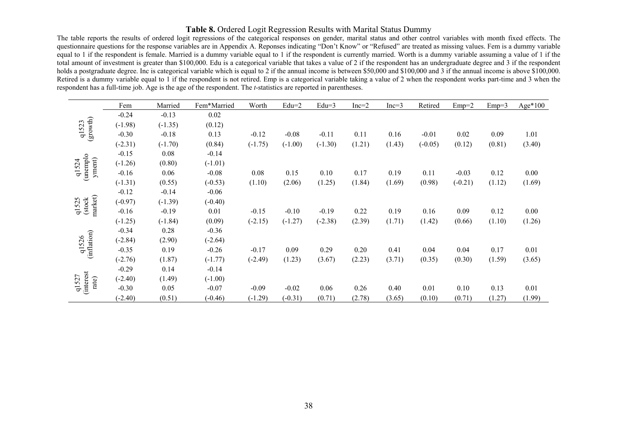# **Table 8.** Ordered Logit Regression Results with Marital Status Dummy

The table reports the results of ordered logit regressions of the categorical responses on gender, marital status and other control variables with month fixed effects. The questionnaire questions for the response variables are in Appendix A. Reponses indicating "Don't Know" or "Refused" are treated as missing values. Fem is a dummy variable equal to 1 if the respondent is female. Married is a dummy variable equal to 1 if the respondent is currently married. Worth is a dummy variable assuming a value of 1 if the total amount of investment is greater than \$100,000. Edu is a categorical variable that takes a value of 2 if the respondent has an undergraduate degree and 3 if the respondent holds a postgraduate degree. Inc is categorical variable which is equal to 2 if the annual income is between \$50,000 and \$100,000 and 3 if the annual income is above \$100,000. Retired is a dummy variable equal to 1 if the respondent is not retired. Emp is a categorical variable taking a value of 2 when the respondent works part-time and 3 when the respondent has a full-time job. Age is the age of the respondent. The *t*-statistics are reported in parentheses.

|                             | Fem       | Married   | Fem*Married | Worth     | $Edu=2$   | $Edu=3$   | $Inc=2$ | $Inc=3$ | Retired   | $Emp=2$   | $Emp=3$ | Age*100 |
|-----------------------------|-----------|-----------|-------------|-----------|-----------|-----------|---------|---------|-----------|-----------|---------|---------|
|                             | $-0.24$   | $-0.13$   | 0.02        |           |           |           |         |         |           |           |         |         |
| (growth)<br>q1523           | $(-1.98)$ | $(-1.35)$ | (0.12)      |           |           |           |         |         |           |           |         |         |
|                             | $-0.30$   | $-0.18$   | 0.13        | $-0.12$   | $-0.08$   | $-0.11$   | 0.11    | 0.16    | $-0.01$   | 0.02      | 0.09    | 1.01    |
|                             | $(-2.31)$ | $(-1.70)$ | (0.84)      | $(-1.75)$ | $(-1.00)$ | $(-1.30)$ | (1.21)  | (1.43)  | $(-0.05)$ | (0.12)    | (0.81)  | (3.40)  |
|                             | $-0.15$   | 0.08      | $-0.14$     |           |           |           |         |         |           |           |         |         |
| (unemplo<br>yment)<br>q1524 | $(-1.26)$ | (0.80)    | $(-1.01)$   |           |           |           |         |         |           |           |         |         |
|                             | $-0.16$   | 0.06      | $-0.08$     | 0.08      | 0.15      | 0.10      | 0.17    | 0.19    | 0.11      | $-0.03$   | 0.12    | 0.00    |
|                             | $(-1.31)$ | (0.55)    | $(-0.53)$   | (1.10)    | (2.06)    | (1.25)    | (1.84)  | (1.69)  | (0.98)    | $(-0.21)$ | (1.12)  | (1.69)  |
|                             | $-0.12$   | $-0.14$   | $-0.06$     |           |           |           |         |         |           |           |         |         |
| market)<br>(stock<br>q1525  | $(-0.97)$ | $(-1.39)$ | $(-0.40)$   |           |           |           |         |         |           |           |         |         |
|                             | $-0.16$   | $-0.19$   | 0.01        | $-0.15$   | $-0.10$   | $-0.19$   | 0.22    | 0.19    | 0.16      | 0.09      | 0.12    | 0.00    |
|                             | $(-1.25)$ | $(-1.84)$ | (0.09)      | $(-2.15)$ | $(-1.27)$ | $(-2.38)$ | (2.39)  | (1.71)  | (1.42)    | (0.66)    | (1.10)  | (1.26)  |
|                             | $-0.34$   | 0.28      | $-0.36$     |           |           |           |         |         |           |           |         |         |
| q1526                       | $(-2.84)$ | (2.90)    | $(-2.64)$   |           |           |           |         |         |           |           |         |         |
| (inflation)                 | $-0.35$   | 0.19      | $-0.26$     | $-0.17$   | 0.09      | 0.29      | 0.20    | 0.41    | 0.04      | 0.04      | 0.17    | 0.01    |
|                             | $(-2.76)$ | (1.87)    | $(-1.77)$   | $(-2.49)$ | (1.23)    | (3.67)    | (2.23)  | (3.71)  | (0.35)    | (0.30)    | (1.59)  | (3.65)  |
|                             | $-0.29$   | 0.14      | $-0.14$     |           |           |           |         |         |           |           |         |         |
| rate)                       | $(-2.40)$ | (1.49)    | $(-1.00)$   |           |           |           |         |         |           |           |         |         |
| <i>interest</i><br>q1527    | $-0.30$   | 0.05      | $-0.07$     | $-0.09$   | $-0.02$   | 0.06      | 0.26    | 0.40    | 0.01      | 0.10      | 0.13    | 0.01    |
|                             | $(-2.40)$ | (0.51)    | $(-0.46)$   | $(-1.29)$ | $(-0.31)$ | (0.71)    | (2.78)  | (3.65)  | (0.10)    | (0.71)    | (1.27)  | (1.99)  |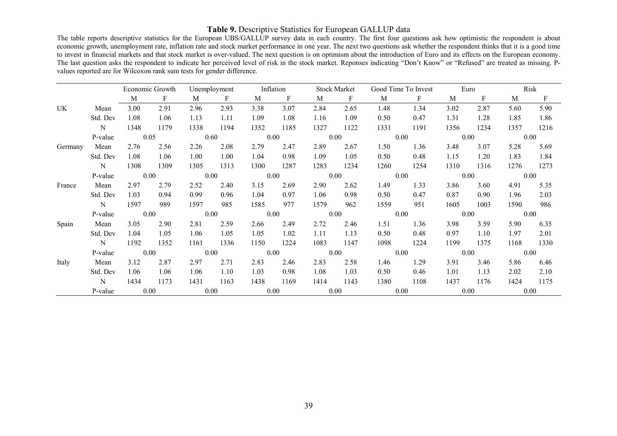# **Table 9.** Descriptive Statistics for European GALLUP data

The table reports descriptive statistics for the European UBS/GALLUP survey data in each country. The first four questions ask how optimistic the respondent is about economic growth, unemployment rate, inflation rate and stock market performance in one year. The next two questions ask whether the respondent thinks that it is a good time to invest in financial markets and that stock market is over-valued. The next question is on optimism about the introduction of Euro and its effects on the European economy. The last question asks the respondent to indicate her perceived level of risk in the stock market. Reponses indicating "Don't Know" or "Refused" are treated as missing. Pvalues reported are for Wilcoxon rank sum tests for gender difference.

|         |             |          | Economic Growth |      | Unemployment |      | Inflation |      | <b>Stock Market</b> |      | Good Time To Invest |      | Euro |      | Risk        |
|---------|-------------|----------|-----------------|------|--------------|------|-----------|------|---------------------|------|---------------------|------|------|------|-------------|
|         |             | M        | F               | M    | $\mathbf{F}$ | M    | F         | M    | F                   | M    | $\mathbf{F}$        | M    | F    | M    | $\mathbf F$ |
| UK      | Mean        | 3.00     | 2.91            | 2.96 | 2.93         | 3.38 | 3.07      | 2.84 | 2.65                | 1.48 | 1.34                | 3.02 | 2.87 | 5.60 | 5.90        |
|         | Std. Dev    | 1.08     | 1.06            | 1.13 | 1.11         | 1.09 | 1.08      | 1.16 | 1.09                | 0.50 | 0.47                | 1.31 | 1.28 | 1.85 | 1.86        |
|         | $\mathbf N$ | 1348     | 1179            | 1338 | 1194         | 1352 | 1185      | 1327 | 1122                | 1331 | 1191                | 1356 | 1234 | 1357 | 1216        |
|         | P-value     | 0.05     |                 |      | 0.60         |      | 0.00      | 0.00 |                     |      | 0.00                |      | 0.00 | 0.00 |             |
| Germany | Mean        | 2.76     | 2.56            | 2.26 | 2.08         | 2.79 | 2.47      | 2.89 | 2.67                | 1.50 | 1.36                | 3.48 | 3.07 | 5.28 | 5.69        |
|         | Std. Dev    | 1.08     | 1.06            | 1.00 | 1.00         | 1.04 | 0.98      | 1.09 | 1.05                | 0.50 | 0.48                | 1.15 | 1.20 | 1.83 | 1.84        |
|         | $\mathbf N$ | 1308     | 1309            | 1305 | 1313         | 1300 | 1287      | 1283 | 1234                | 1260 | 1254                | 1310 | 1316 | 1276 | 1273        |
|         | P-value     | $0.00\,$ |                 | 0.00 |              | 0.00 |           | 0.00 |                     |      | 0.00                |      | 0.00 | 0.00 |             |
| France  | Mean        | 2.97     | 2.79            | 2.52 | 2.40         | 3.15 | 2.69      | 2.90 | 2.62                | 1.49 | 1.33                | 3.86 | 3.60 | 4.91 | 5.35        |
|         | Std. Dev    | 1.03     | 0.94            | 0.99 | 0.96         | 1.04 | 0.97      | 1.06 | 0.98                | 0.50 | 0.47                | 0.87 | 0.90 | 1.96 | 2.03        |
|         | N           | 1597     | 989             | 1597 | 985          | 1585 | 977       | 1579 | 962                 | 1559 | 951                 | 1605 | 1003 | 1590 | 986         |
|         | P-value     | 0.00     |                 |      | 0.00         | 0.00 |           | 0.00 |                     |      | 0.00                |      | 0.00 | 0.00 |             |
| Spain   | Mean        | 3.05     | 2.90            | 2.81 | 2.59         | 2.66 | 2.49      | 2.72 | 2.46                | 1.51 | 1.36                | 3.98 | 3.59 | 5.90 | 6.35        |
|         | Std. Dev    | 1.04     | 1.05            | 1.06 | 1.05         | 1.05 | 1.02      | 1.11 | 1.13                | 0.50 | 0.48                | 0.97 | 1.10 | 1.97 | 2.01        |
|         | $\mathbf N$ | 1192     | 1352            | 1161 | 1336         | 1150 | 1224      | 1083 | 1147                | 1098 | 1224                | 1199 | 1375 | 1168 | 1330        |
|         | P-value     | 0.00     |                 |      | 0.00         | 0.00 |           | 0.00 |                     |      | 0.00                |      | 0.00 | 0.00 |             |
| Italy   | Mean        | 3.12     | 2.87            | 2.97 | 2.71         | 2.83 | 2.46      | 2.83 | 2.58                | 1.46 | 1.29                | 3.91 | 3.46 | 5.86 | 6.46        |
|         | Std. Dev    | 1.06     | 1.06            | 1.06 | 1.10         | 1.03 | 0.98      | 1.08 | 1.03                | 0.50 | 0.46                | 1.01 | 1.13 | 2.02 | 2.10        |
|         | N           | 1434     | 1173            | 1431 | 1163         | 1438 | 1169      | 1414 | 1143                | 1380 | 1108                | 1437 | 1176 | 1424 | 1175        |
|         | P-value     | 0.00     |                 |      | 0.00         |      | 0.00      | 0.00 |                     |      | 0.00                |      | 0.00 | 0.00 |             |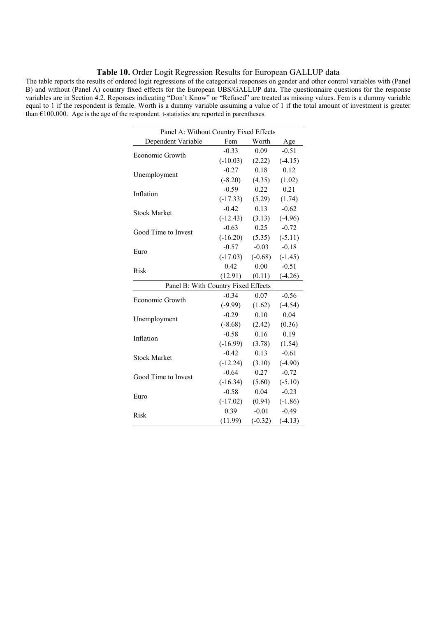#### **Table 10.** Order Logit Regression Results for European GALLUP data

The table reports the results of ordered logit regressions of the categorical responses on gender and other control variables with (Panel B) and without (Panel A) country fixed effects for the European UBS/GALLUP data. The questionnaire questions for the response variables are in Section 4.2. Reponses indicating "Don't Know" or "Refused" are treated as missing values. Fem is a dummy variable equal to 1 if the respondent is female. Worth is a dummy variable assuming a value of 1 if the total amount of investment is greater than  $£100,000$ . Age is the age of the respondent. t-statistics are reported in parentheses.

| Panel A: Without Country Fixed Effects |            |           |           |  |  |  |  |  |  |  |
|----------------------------------------|------------|-----------|-----------|--|--|--|--|--|--|--|
| Dependent Variable                     | Fem        | Worth     | Age       |  |  |  |  |  |  |  |
| Economic Growth                        | $-0.33$    | 0.09      | $-0.51$   |  |  |  |  |  |  |  |
|                                        | $(-10.03)$ | (2.22)    | $(-4.15)$ |  |  |  |  |  |  |  |
| Unemployment                           | $-0.27$    | 0.18      | 0.12      |  |  |  |  |  |  |  |
|                                        | $(-8.20)$  | (4.35)    | (1.02)    |  |  |  |  |  |  |  |
| Inflation                              | $-0.59$    | 0.22      | 0.21      |  |  |  |  |  |  |  |
|                                        | $(-17.33)$ | (5.29)    | (1.74)    |  |  |  |  |  |  |  |
| <b>Stock Market</b>                    | $-0.42$    | 0.13      | $-0.62$   |  |  |  |  |  |  |  |
|                                        | $(-12.43)$ | (3.13)    | $(-4.96)$ |  |  |  |  |  |  |  |
| Good Time to Invest                    | $-0.63$    | 0.25      | $-0.72$   |  |  |  |  |  |  |  |
|                                        | $(-16.20)$ | (5.35)    | $(-5.11)$ |  |  |  |  |  |  |  |
| Euro                                   | $-0.57$    | $-0.03$   | $-0.18$   |  |  |  |  |  |  |  |
|                                        | $(-17.03)$ | $(-0.68)$ | $(-1.45)$ |  |  |  |  |  |  |  |
| <b>Risk</b>                            | 0.42       | 0.00      | $-0.51$   |  |  |  |  |  |  |  |
|                                        | (12.91)    | (0.11)    | $(-4.26)$ |  |  |  |  |  |  |  |
| Panel B: With Country Fixed Effects    |            |           |           |  |  |  |  |  |  |  |
| Economic Growth                        | $-0.34$    | 0.07      | $-0.56$   |  |  |  |  |  |  |  |
|                                        | $(-9.99)$  | (1.62)    | $(-4.54)$ |  |  |  |  |  |  |  |
| Unemployment                           | $-0.29$    | 0.10      | 0.04      |  |  |  |  |  |  |  |
|                                        | $(-8.68)$  | (2.42)    | (0.36)    |  |  |  |  |  |  |  |
| Inflation                              | $-0.58$    | 0.16      | 0.19      |  |  |  |  |  |  |  |
|                                        | $(-16.99)$ | (3.78)    | (1.54)    |  |  |  |  |  |  |  |
| <b>Stock Market</b>                    | $-0.42$    | 0.13      | $-0.61$   |  |  |  |  |  |  |  |
|                                        | $(-12.24)$ | (3.10)    | $(-4.90)$ |  |  |  |  |  |  |  |
| Good Time to Invest                    | $-0.64$    | 0.27      | $-0.72$   |  |  |  |  |  |  |  |
|                                        | $(-16.34)$ | (5.60)    | $(-5.10)$ |  |  |  |  |  |  |  |
| Euro                                   | $-0.58$    | 0.04      | $-0.23$   |  |  |  |  |  |  |  |
|                                        | $(-17.02)$ | (0.94)    | $(-1.86)$ |  |  |  |  |  |  |  |
| Risk                                   | 0.39       | $-0.01$   | $-0.49$   |  |  |  |  |  |  |  |
|                                        | (11.99)    | $(-0.32)$ | $(-4.13)$ |  |  |  |  |  |  |  |